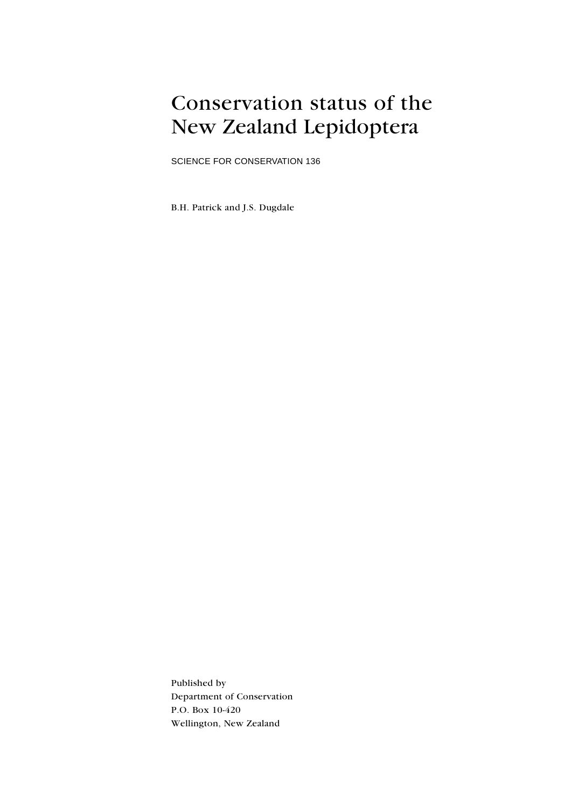### Conservation status of the New Zealand Lepidoptera

SCIENCE FOR CONSERVATION 136

B.H. Patrick and J.S. Dugdale

Published by Department of Conservation P.O. Box 10-420 Wellington, New Zealand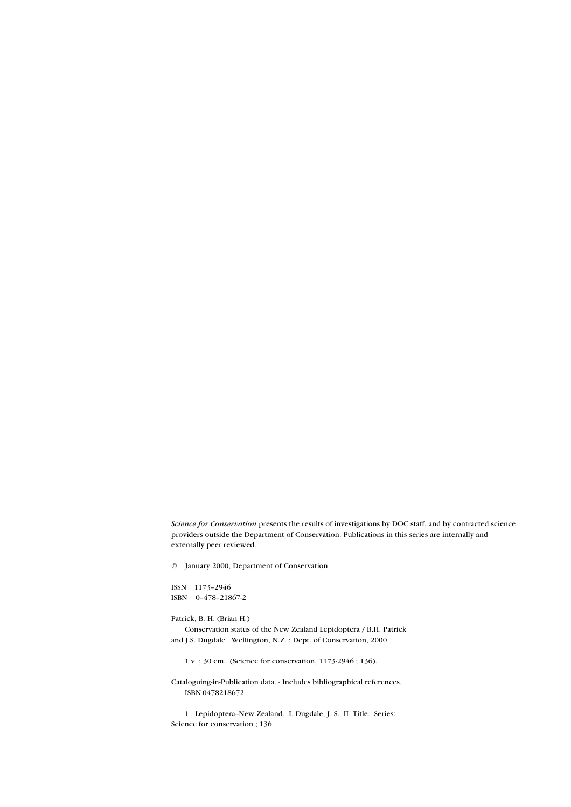Science for Conservation presents the results of investigations by DOC staff, and by contracted science providers outside the Department of Conservation. Publications in this series are internally and externally peer reviewed.

© January 2000, Department of Conservation

ISSN 1173-2946 ISBN 0-478-21867-2

#### Patrick, B. H. (Brian H.)

Conservation status of the New Zealand Lepidoptera / B.H. Patrick and J.S. Dugdale. Wellington, N.Z. : Dept. of Conservation, 2000.

1 v. ; 30 cm. (Science for conservation, 1173-2946 ; 136).

Cataloguing-in-Publication data. - Includes bibliographical references. ISBN 0478218672

1. Lepidoptera--New Zealand. I. Dugdale, J. S. II. Title. Series: Science for conservation ; 136.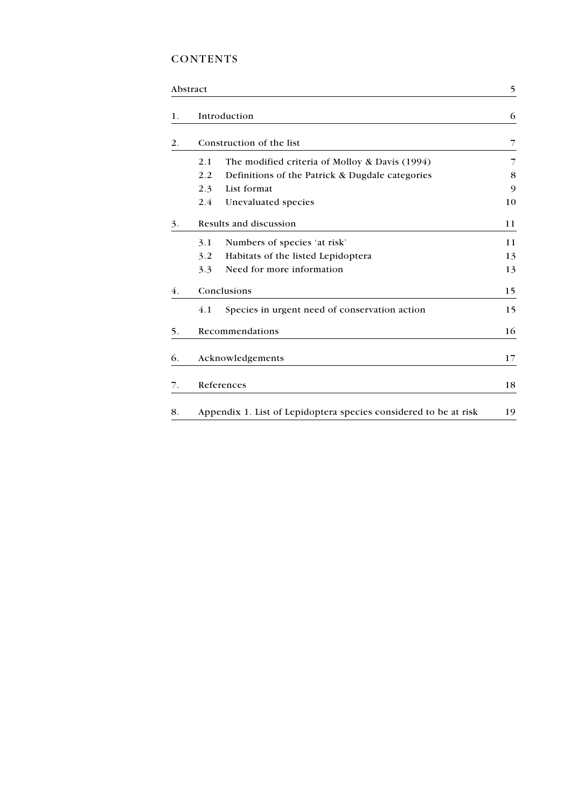### **CONTENTS**

|    | Abstract |                                                                  | 5  |
|----|----------|------------------------------------------------------------------|----|
| 1. |          | Introduction                                                     | 6  |
| 2. |          | Construction of the list                                         | 7  |
|    | 2.1      | The modified criteria of Molloy & Davis (1994)                   | 7  |
|    | 2.2      | Definitions of the Patrick & Dugdale categories                  | 8  |
|    | 2.3      | List format                                                      | 9  |
|    | 2.4      | Unevaluated species                                              | 10 |
| 3. |          | Results and discussion                                           | 11 |
|    | 3.1      | Numbers of species 'at risk'                                     | 11 |
|    | 3.2      | Habitats of the listed Lepidoptera                               | 13 |
|    | 3.3      | Need for more information                                        | 13 |
| 4. |          | Conclusions                                                      | 15 |
|    | 4.1      | Species in urgent need of conservation action                    | 15 |
| 5. |          | Recommendations                                                  | 16 |
| 6. |          | Acknowledgements                                                 | 17 |
| 7. |          | References                                                       | 18 |
| 8. |          | Appendix 1. List of Lepidoptera species considered to be at risk | 19 |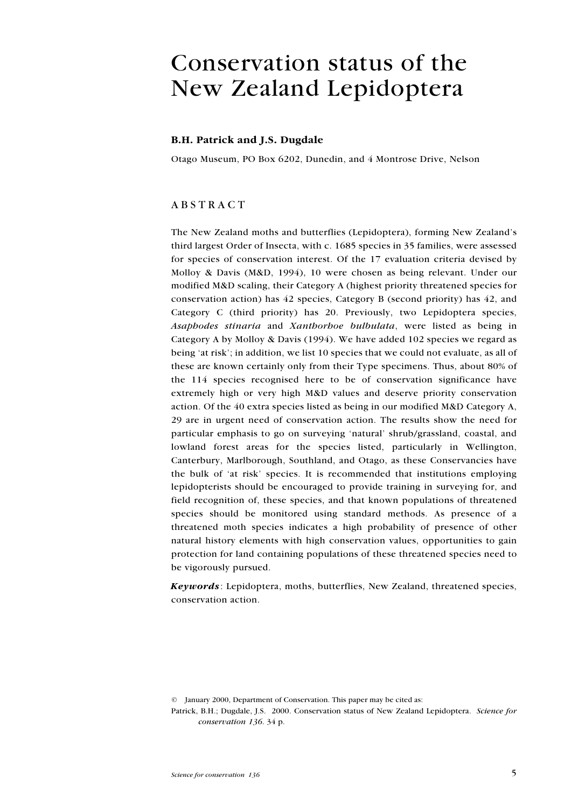## Conservation status of the New Zealand Lepidoptera

#### B.H. Patrick and J.S. Dugdale

Otago Museum, PO Box 6202, Dunedin, and 4 Montrose Drive, Nelson

#### ABSTRACT

The New Zealand moths and butterflies (Lepidoptera), forming New Zealand's third largest Order of Insecta, with c. 1685 species in 35 families, were assessed for species of conservation interest. Of the 17 evaluation criteria devised by Molloy & Davis (M&D, 1994), 10 were chosen as being relevant. Under our modified M&D scaling, their Category A (highest priority threatened species for conservation action) has 42 species, Category B (second priority) has 42, and Category C (third priority) has 20. Previously, two Lepidoptera species, Asaphodes stinaria and Xanthorhoe bulbulata, were listed as being in Category A by Molloy & Davis (1994). We have added 102 species we regard as being 'at risk'; in addition, we list 10 species that we could not evaluate, as all of these are known certainly only from their Type specimens. Thus, about 80% of the 114 species recognised here to be of conservation significance have extremely high or very high M&D values and deserve priority conservation action. Of the 40 extra species listed as being in our modified M&D Category A, 29 are in urgent need of conservation action. The results show the need for particular emphasis to go on surveying 'natural' shrub/grassland, coastal, and lowland forest areas for the species listed, particularly in Wellington, Canterbury, Marlborough, Southland, and Otago, as these Conservancies have the bulk of 'at risk' species. It is recommended that institutions employing lepidopterists should be encouraged to provide training in surveying for, and field recognition of, these species, and that known populations of threatened species should be monitored using standard methods. As presence of a threatened moth species indicates a high probability of presence of other natural history elements with high conservation values, opportunities to gain protection for land containing populations of these threatened species need to be vigorously pursued.

Keywords: Lepidoptera, moths, butterflies, New Zealand, threatened species, conservation action.

© January 2000, Department of Conservation. This paper may be cited as:

Patrick, B.H.; Dugdale, J.S. 2000. Conservation status of New Zealand Lepidoptera. Science for conservation 136. 34 p.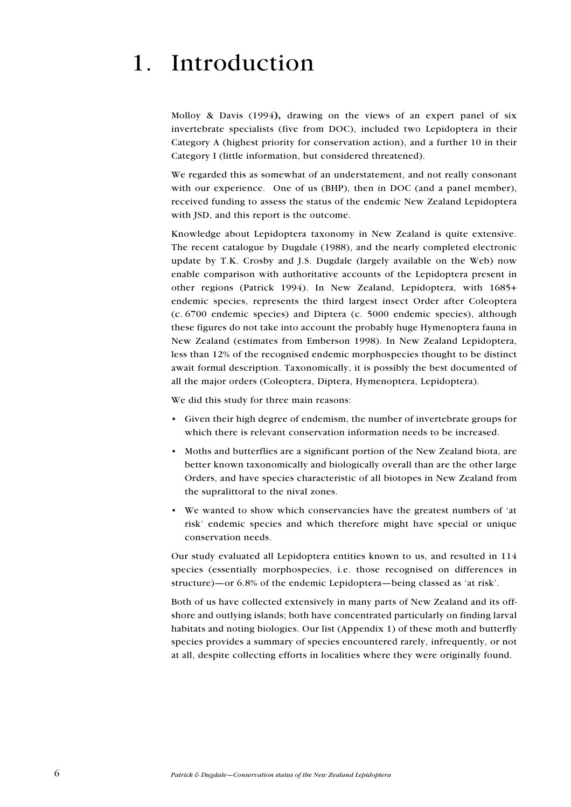# 1. Introduction

Molloy & Davis (1994), drawing on the views of an expert panel of six invertebrate specialists (five from DOC), included two Lepidoptera in their Category A (highest priority for conservation action), and a further 10 in their Category I (little information, but considered threatened).

We regarded this as somewhat of an understatement, and not really consonant with our experience. One of us (BHP), then in DOC (and a panel member), received funding to assess the status of the endemic New Zealand Lepidoptera with JSD, and this report is the outcome.

Knowledge about Lepidoptera taxonomy in New Zealand is quite extensive. The recent catalogue by Dugdale (1988), and the nearly completed electronic update by T.K. Crosby and J.S. Dugdale (largely available on the Web) now enable comparison with authoritative accounts of the Lepidoptera present in other regions (Patrick 1994). In New Zealand, Lepidoptera, with 1685+ endemic species, represents the third largest insect Order after Coleoptera (c. 6700 endemic species) and Diptera (c. 5000 endemic species), although these figures do not take into account the probably huge Hymenoptera fauna in New Zealand (estimates from Emberson 1998). In New Zealand Lepidoptera, less than 12% of the recognised endemic morphospecies thought to be distinct await formal description. Taxonomically, it is possibly the best documented of all the major orders (Coleoptera, Diptera, Hymenoptera, Lepidoptera).

We did this study for three main reasons:

- Given their high degree of endemism, the number of invertebrate groups for which there is relevant conservation information needs to be increased.
- Moths and butterflies are a significant portion of the New Zealand biota, are better known taxonomically and biologically overall than are the other large Orders, and have species characteristic of all biotopes in New Zealand from the supralittoral to the nival zones.
- We wanted to show which conservancies have the greatest numbers of 'at risk' endemic species and which therefore might have special or unique conservation needs.

Our study evaluated all Lepidoptera entities known to us, and resulted in 114 species (essentially morphospecies, i.e. those recognised on differences in structure)—or  $6.8\%$  of the endemic Lepidoptera—being classed as 'at risk'.

Both of us have collected extensively in many parts of New Zealand and its offshore and outlying islands; both have concentrated particularly on finding larval habitats and noting biologies. Our list (Appendix 1) of these moth and butterfly species provides a summary of species encountered rarely, infrequently, or not at all, despite collecting efforts in localities where they were originally found.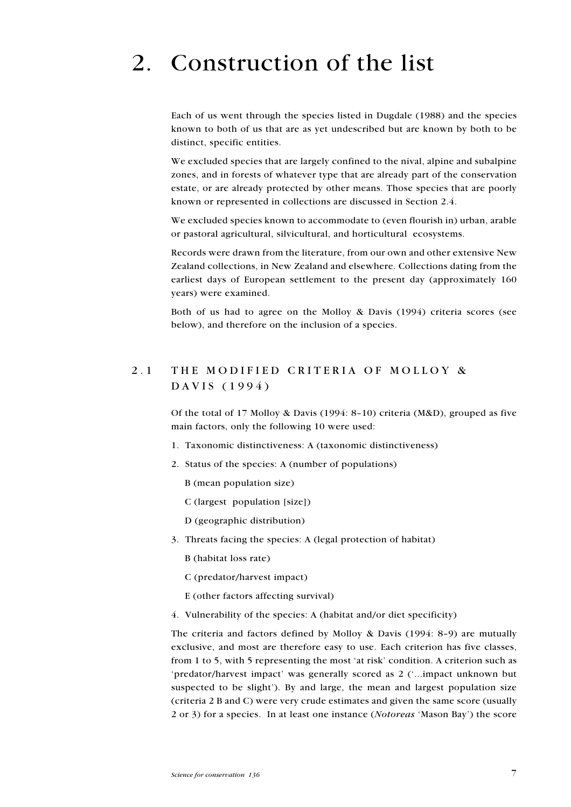# 2. Construction of the list

Each of us went through the species listed in Dugdale (1988) and the species known to both of us that are as yet undescribed but are known by both to be distinct, specific entities.

We excluded species that are largely confined to the nival, alpine and subalpine zones, and in forests of whatever type that are already part of the conservation estate, or are already protected by other means. Those species that are poorly known or represented in collections are discussed in Section 2.4.

We excluded species known to accommodate to (even flourish in) urban, arable or pastoral agricultural, silvicultural, and horticultural ecosystems.

Records were drawn from the literature, from our own and other extensive New Zealand collections, in New Zealand and elsewhere. Collections dating from the earliest days of European settlement to the present day (approximately 160 years) were examined.

Both of us had to agree on the Molloy & Davis (1994) criteria scores (see below), and therefore on the inclusion of a species.

### 2.1 THE MODIFIED CRITERIA OF MOLLOY & DAVIS (1994)

Of the total of 17 Molloy & Davis (1994: 8-10) criteria (M&D), grouped as five main factors, only the following 10 were used:

- 1. Taxonomic distinctiveness: A (taxonomic distinctiveness)
- 2. Status of the species: A (number of populations)
	- B (mean population size)
	- C (largest population [size])
	- D (geographic distribution)
- 3. Threats facing the species: A (legal protection of habitat)
	- B (habitat loss rate)
	- C (predator/harvest impact)
	- E (other factors affecting survival)
- 4. Vulnerability of the species: A (habitat and/or diet specificity)

The criteria and factors defined by Molloy & Davis (1994: 8-9) are mutually exclusive, and most are therefore easy to use. Each criterion has five classes, from 1 to 5, with 5 representing the most 'at risk' condition. A criterion such as 'predator/harvest impact' was generally scored as 2 ('...impact unknown but suspected to be slight). By and large, the mean and largest population size (criteria 2 B and C) were very crude estimates and given the same score (usually 2 or 3) for a species. In at least one instance (Notoreas Mason Bay) the score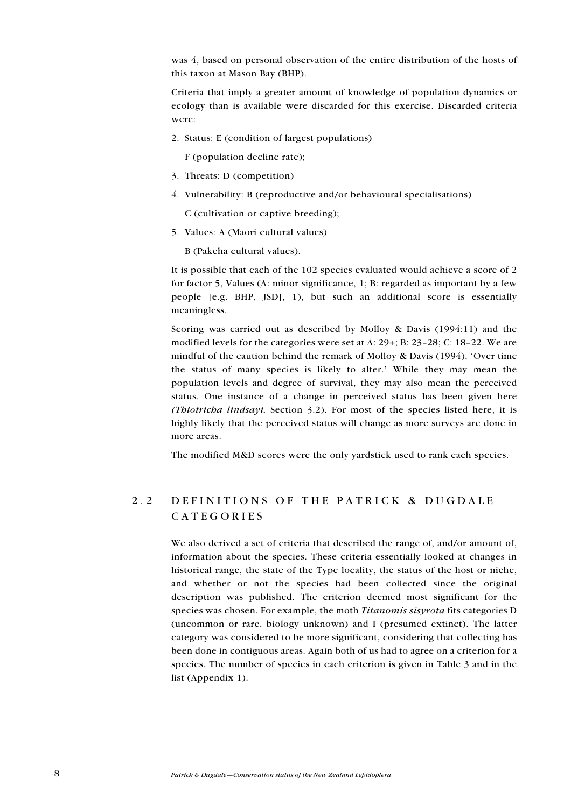was 4, based on personal observation of the entire distribution of the hosts of this taxon at Mason Bay (BHP).

Criteria that imply a greater amount of knowledge of population dynamics or ecology than is available were discarded for this exercise. Discarded criteria were:

2. Status: E (condition of largest populations)

F (population decline rate);

- 3. Threats: D (competition)
- 4. Vulnerability: B (reproductive and/or behavioural specialisations)

C (cultivation or captive breeding);

5. Values: A (Maori cultural values)

B (Pakeha cultural values).

It is possible that each of the 102 species evaluated would achieve a score of 2 for factor 5, Values (A: minor significance, 1; B: regarded as important by a few people [e.g. BHP, JSD], 1), but such an additional score is essentially meaningless.

Scoring was carried out as described by Molloy & Davis (1994:11) and the modified levels for the categories were set at A:  $29+$ ; B:  $23-28$ ; C:  $18-22$ . We are mindful of the caution behind the remark of Molloy & Davis (1994), 'Over time the status of many species is likely to alter. While they may mean the population levels and degree of survival, they may also mean the perceived status. One instance of a change in perceived status has been given here (Thiotricha lindsayi, Section 3.2). For most of the species listed here, it is highly likely that the perceived status will change as more surveys are done in more areas.

The modified M&D scores were the only yardstick used to rank each species.

### 2.2 DEFINITIONS OF THE PATRICK & DUGDALE CATEGORIES

We also derived a set of criteria that described the range of, and/or amount of, information about the species. These criteria essentially looked at changes in historical range, the state of the Type locality, the status of the host or niche, and whether or not the species had been collected since the original description was published. The criterion deemed most significant for the species was chosen. For example, the moth *Titanomis sisyrota* fits categories D (uncommon or rare, biology unknown) and I (presumed extinct). The latter category was considered to be more significant, considering that collecting has been done in contiguous areas. Again both of us had to agree on a criterion for a species. The number of species in each criterion is given in Table 3 and in the list (Appendix 1).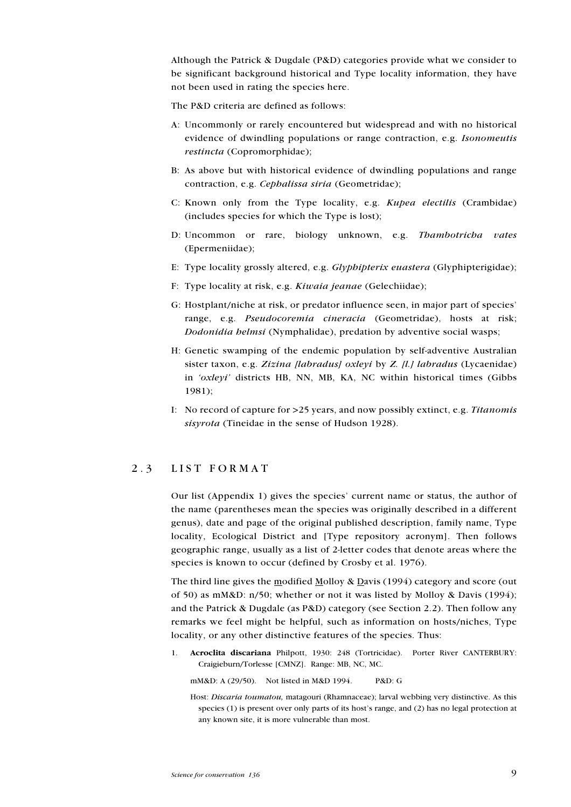Although the Patrick & Dugdale (P&D) categories provide what we consider to be significant background historical and Type locality information, they have not been used in rating the species here.

The P&D criteria are defined as follows:

- A: Uncommonly or rarely encountered but widespread and with no historical evidence of dwindling populations or range contraction, e.g. Isonomeutis restincta (Copromorphidae);
- B: As above but with historical evidence of dwindling populations and range contraction, e.g. Cephalissa siria (Geometridae);
- C: Known only from the Type locality, e.g. Kupea electilis (Crambidae) (includes species for which the Type is lost);
- D: Uncommon or rare, biology unknown, e.g. Thambotricha vates (Epermeniidae);
- E: Type locality grossly altered, e.g. Glyphipterix euastera (Glyphipterigidae);
- F: Type locality at risk, e.g. Kiwaia jeanae (Gelechiidae);
- G: Hostplant/niche at risk, or predator influence seen, in major part of species range, e.g. Pseudocoremia cineracia (Geometridae), hosts at risk; Dodonidia helmsi (Nymphalidae), predation by adventive social wasps;
- H: Genetic swamping of the endemic population by self-adventive Australian sister taxon, e.g. Zizina [labradus] oxleyi by Z. [l.] labradus (Lycaenidae) in ' $oxleyi'$  districts HB, NN, MB, KA, NC within historical times (Gibbs 1981);
- I: No record of capture for >25 years, and now possibly extinct, e.g. Titanomis sisyrota (Tineidae in the sense of Hudson 1928).

#### 2.3 LIST FORMAT

Our list (Appendix 1) gives the species' current name or status, the author of the name (parentheses mean the species was originally described in a different genus), date and page of the original published description, family name, Type locality, Ecological District and [Type repository acronym]. Then follows geographic range, usually as a list of 2-letter codes that denote areas where the species is known to occur (defined by Crosby et al. 1976).

The third line gives the modified Molloy & Davis (1994) category and score (out of 50) as mM&D: n/50; whether or not it was listed by Molloy & Davis (1994); and the Patrick & Dugdale (as P&D) category (see Section 2.2). Then follow any remarks we feel might be helpful, such as information on hosts/niches, Type locality, or any other distinctive features of the species. Thus:

1. Acroclita discariana Philpott, 1930: 248 (Tortricidae). Porter River CANTERBURY: Craigieburn/Torlesse [CMNZ]. Range: MB, NC, MC.

mM&D: A (29/50). Not listed in M&D 1994. P&D: G

Host: Discaria toumatou, matagouri (Rhamnaceae); larval webbing very distinctive. As this species (1) is present over only parts of its host's range, and (2) has no legal protection at any known site, it is more vulnerable than most.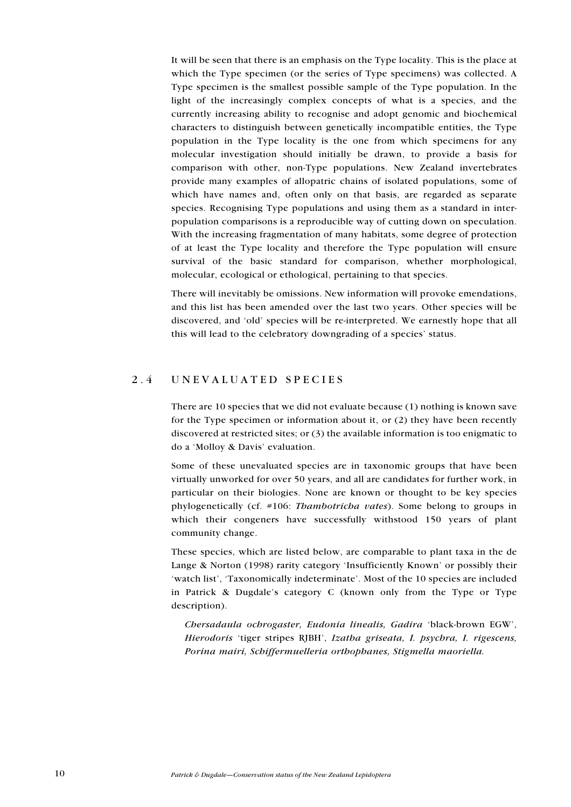It will be seen that there is an emphasis on the Type locality. This is the place at which the Type specimen (or the series of Type specimens) was collected. A Type specimen is the smallest possible sample of the Type population. In the light of the increasingly complex concepts of what is a species, and the currently increasing ability to recognise and adopt genomic and biochemical characters to distinguish between genetically incompatible entities, the Type population in the Type locality is the one from which specimens for any molecular investigation should initially be drawn, to provide a basis for comparison with other, non-Type populations. New Zealand invertebrates provide many examples of allopatric chains of isolated populations, some of which have names and, often only on that basis, are regarded as separate species. Recognising Type populations and using them as a standard in interpopulation comparisons is a reproducible way of cutting down on speculation. With the increasing fragmentation of many habitats, some degree of protection of at least the Type locality and therefore the Type population will ensure survival of the basic standard for comparison, whether morphological, molecular, ecological or ethological, pertaining to that species.

There will inevitably be omissions. New information will provoke emendations, and this list has been amended over the last two years. Other species will be discovered, and 'old' species will be re-interpreted. We earnestly hope that all this will lead to the celebratory downgrading of a species' status.

#### 2.4 UNEVALUATED SPECIES

There are 10 species that we did not evaluate because (1) nothing is known save for the Type specimen or information about it, or (2) they have been recently discovered at restricted sites; or (3) the available information is too enigmatic to do a 'Molloy & Davis' evaluation.

Some of these unevaluated species are in taxonomic groups that have been virtually unworked for over 50 years, and all are candidates for further work, in particular on their biologies. None are known or thought to be key species phylogenetically (cf. #106: Thambotricha vates). Some belong to groups in which their congeners have successfully withstood 150 years of plant community change.

These species, which are listed below, are comparable to plant taxa in the de Lange & Norton (1998) rarity category 'Insufficiently Known' or possibly their 'watch list', 'Taxonomically indeterminate'. Most of the 10 species are included in Patrick & Dugdale's category C (known only from the Type or Type description).

Chersadaula ochrogaster, Eudonia linealis, Gadira 'black-brown EGW', Hierodoris 'tiger stripes RJBH', Izatha griseata, I. psychra, I. rigescens, Porina mairi, Schiffermuelleria orthophanes, Stigmella maoriella.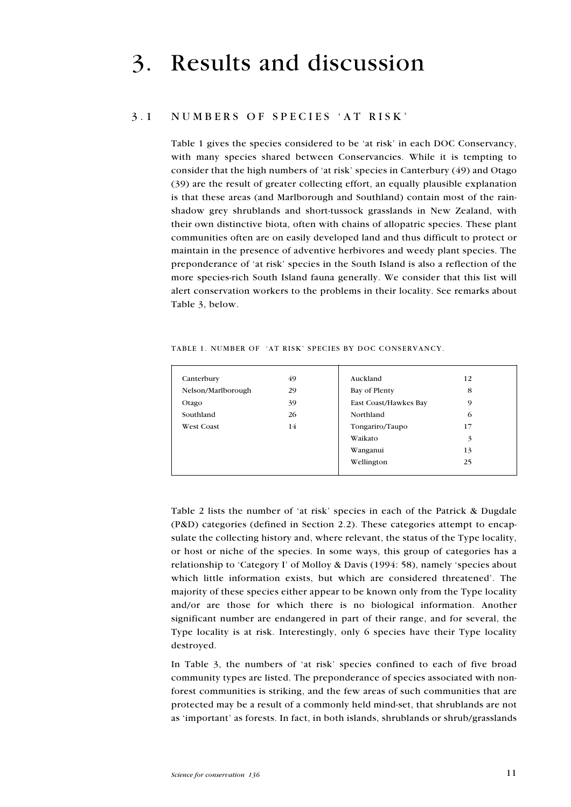### 3. Results and discussion

#### 3.1 NUMBERS OF SPECIES AT RISK

Table 1 gives the species considered to be 'at risk' in each DOC Conservancy, with many species shared between Conservancies. While it is tempting to consider that the high numbers of 'at risk' species in Canterbury (49) and Otago (39) are the result of greater collecting effort, an equally plausible explanation is that these areas (and Marlborough and Southland) contain most of the rainshadow grey shrublands and short-tussock grasslands in New Zealand, with their own distinctive biota, often with chains of allopatric species. These plant communities often are on easily developed land and thus difficult to protect or maintain in the presence of adventive herbivores and weedy plant species. The preponderance of 'at risk' species in the South Island is also a reflection of the more species-rich South Island fauna generally. We consider that this list will alert conservation workers to the problems in their locality. See remarks about Table 3, below.

| TABLE 1. NUMBER OF 'AT RISK' SPECIES BY DOC CONSERVANCY. |  |  |  |  |  |
|----------------------------------------------------------|--|--|--|--|--|
|----------------------------------------------------------|--|--|--|--|--|

| Canterbury         | 49 | Auckland              | 12 |
|--------------------|----|-----------------------|----|
| Nelson/Marlborough | 29 | Bay of Plenty         | 8  |
| Otago              | 39 | East Coast/Hawkes Bay | 9  |
| Southland          | 26 | Northland             | 6  |
| <b>West Coast</b>  | 14 | Tongariro/Taupo       | 17 |
|                    |    | Waikato               | 3  |
|                    |    | Wanganui              | 13 |
|                    |    | Wellington            | 25 |
|                    |    |                       |    |

Table 2 lists the number of 'at risk' species in each of the Patrick & Dugdale (P&D) categories (defined in Section 2.2). These categories attempt to encapsulate the collecting history and, where relevant, the status of the Type locality, or host or niche of the species. In some ways, this group of categories has a relationship to 'Category I' of Molloy & Davis (1994: 58), namely 'species about which little information exists, but which are considered threatened'. The majority of these species either appear to be known only from the Type locality and/or are those for which there is no biological information. Another significant number are endangered in part of their range, and for several, the Type locality is at risk. Interestingly, only 6 species have their Type locality destroyed.

In Table  $3$ , the numbers of 'at risk' species confined to each of five broad community types are listed. The preponderance of species associated with nonforest communities is striking, and the few areas of such communities that are protected may be a result of a commonly held mind-set, that shrublands are not as 'important' as forests. In fact, in both islands, shrublands or shrub/grasslands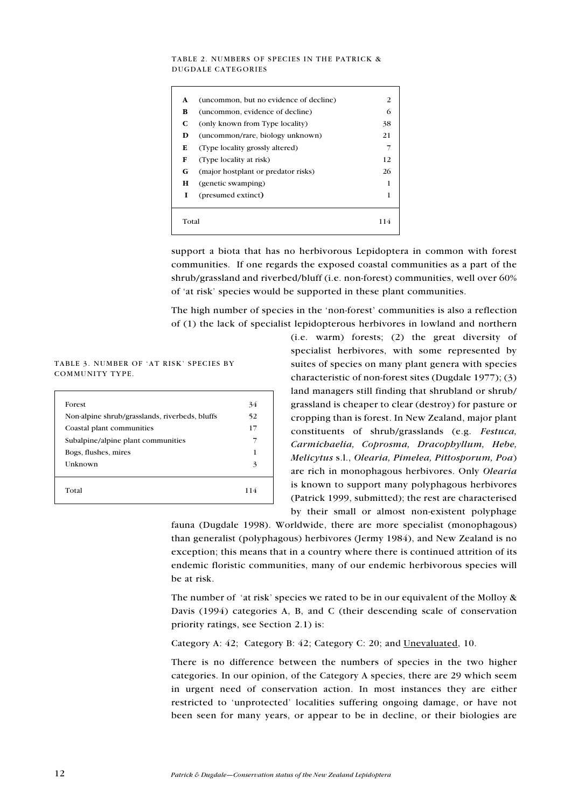#### TABLE 2. NUMBERS OF SPECIES IN THE PATRICK & DUGDALE CATEGORIES

| A     | (uncommon, but no evidence of decline) | 2   |
|-------|----------------------------------------|-----|
| B     | (uncommon, evidence of decline)        | 6   |
| C     | (only known from Type locality)        | 38  |
| D     | (uncommon/rare, biology unknown)       | 21  |
| Е     | (Type locality grossly altered)        | 7   |
| F     | (Type locality at risk)                | 12  |
| G     | (major hostplant or predator risks)    | 26  |
| н     | (genetic swamping)                     | 1   |
| T     | (presumed extinct)                     | 1   |
| Total |                                        | 114 |

support a biota that has no herbivorous Lepidoptera in common with forest communities. If one regards the exposed coastal communities as a part of the shrub/grassland and riverbed/bluff (i.e. non-forest) communities, well over 60% of 'at risk' species would be supported in these plant communities.

The high number of species in the 'non-forest' communities is also a reflection of (1) the lack of specialist lepidopterous herbivores in lowland and northern

TABLE 3. NUMBER OF 'AT RISK' SPECIES BY COMMUNITY TYPE.

| Forest                                         |     |
|------------------------------------------------|-----|
|                                                | 34  |
| Non-alpine shrub/grasslands, riverbeds, bluffs | 52  |
| Coastal plant communities                      | 17  |
| Subalpine/alpine plant communities             | 7   |
| Bogs, flushes, mires                           | 1   |
| Unknown                                        | 3   |
| Total                                          | 114 |

(i.e. warm) forests; (2) the great diversity of specialist herbivores, with some represented by suites of species on many plant genera with species characteristic of non-forest sites (Dugdale 1977); (3) land managers still finding that shrubland or shrub/ grassland is cheaper to clear (destroy) for pasture or cropping than is forest. In New Zealand, major plant constituents of shrub/grasslands (e.g. Festuca, Carmichaelia, Coprosma, Dracophyllum, Hebe, Melicytus s.l., Olearia, Pimelea, Pittosporum, Poa) are rich in monophagous herbivores. Only Olearia is known to support many polyphagous herbivores (Patrick 1999, submitted); the rest are characterised by their small or almost non-existent polyphage

fauna (Dugdale 1998). Worldwide, there are more specialist (monophagous) than generalist (polyphagous) herbivores (Jermy 1984), and New Zealand is no exception; this means that in a country where there is continued attrition of its endemic floristic communities, many of our endemic herbivorous species will be at risk.

The number of 'at risk' species we rated to be in our equivalent of the Molloy  $\&$ Davis (1994) categories A, B, and C (their descending scale of conservation priority ratings, see Section 2.1) is:

Category A: 42; Category B: 42; Category C: 20; and Unevaluated, 10.

There is no difference between the numbers of species in the two higher categories. In our opinion, of the Category A species, there are 29 which seem in urgent need of conservation action. In most instances they are either restricted to 'unprotected' localities suffering ongoing damage, or have not been seen for many years, or appear to be in decline, or their biologies are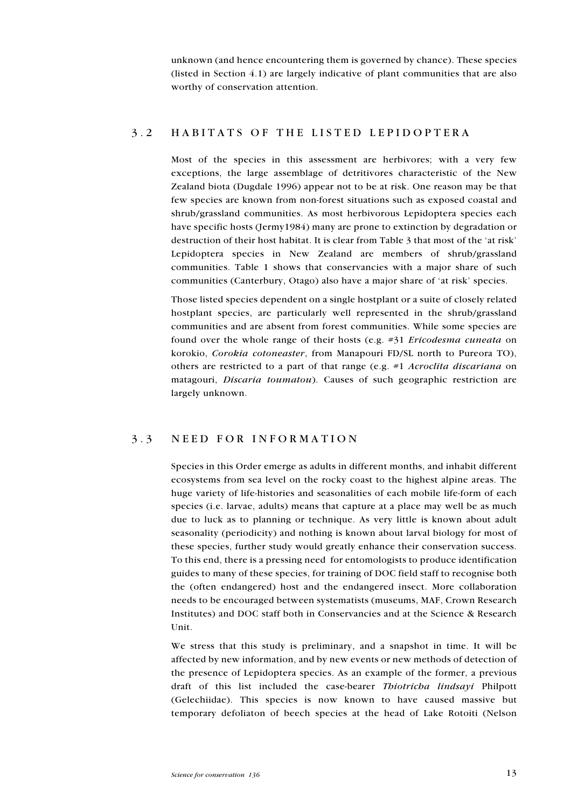unknown (and hence encountering them is governed by chance). These species (listed in Section 4.1) are largely indicative of plant communities that are also worthy of conservation attention.

### 3.2 HABITATS OF THE LISTED LEPIDOPTERA

Most of the species in this assessment are herbivores; with a very few exceptions, the large assemblage of detritivores characteristic of the New Zealand biota (Dugdale 1996) appear not to be at risk. One reason may be that few species are known from non-forest situations such as exposed coastal and shrub/grassland communities. As most herbivorous Lepidoptera species each have specific hosts (Jermy1984) many are prone to extinction by degradation or destruction of their host habitat. It is clear from Table 3 that most of the 'at risk' Lepidoptera species in New Zealand are members of shrub/grassland communities. Table 1 shows that conservancies with a major share of such communities (Canterbury, Otago) also have a major share of 'at risk' species.

Those listed species dependent on a single hostplant or a suite of closely related hostplant species, are particularly well represented in the shrub/grassland communities and are absent from forest communities. While some species are found over the whole range of their hosts (e.g. #31 Ericodesma cuneata on korokio, Corokia cotoneaster, from Manapouri FD/SL north to Pureora TO), others are restricted to a part of that range (e.g.  $\#1$  Acroclita discariana on matagouri, Discaria toumatou). Causes of such geographic restriction are largely unknown.

#### 3.3 NEED FOR INFORMATION

Species in this Order emerge as adults in different months, and inhabit different ecosystems from sea level on the rocky coast to the highest alpine areas. The huge variety of life-histories and seasonalities of each mobile life-form of each species (i.e. larvae, adults) means that capture at a place may well be as much due to luck as to planning or technique. As very little is known about adult seasonality (periodicity) and nothing is known about larval biology for most of these species, further study would greatly enhance their conservation success. To this end, there is a pressing need for entomologists to produce identification guides to many of these species, for training of DOC field staff to recognise both the (often endangered) host and the endangered insect. More collaboration needs to be encouraged between systematists (museums, MAF, Crown Research Institutes) and DOC staff both in Conservancies and at the Science & Research Unit.

We stress that this study is preliminary, and a snapshot in time. It will be affected by new information, and by new events or new methods of detection of the presence of Lepidoptera species. As an example of the former, a previous draft of this list included the case-bearer Thiotricha lindsayi Philpott (Gelechiidae). This species is now known to have caused massive but temporary defoliaton of beech species at the head of Lake Rotoiti (Nelson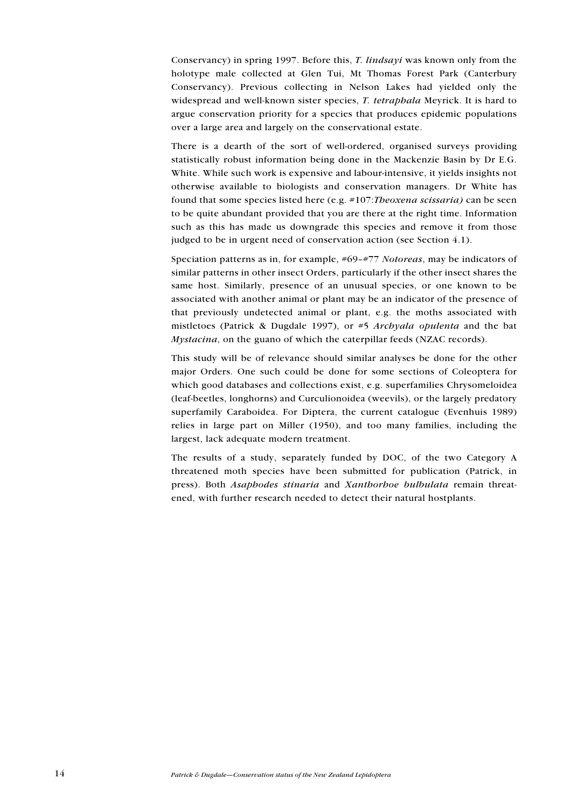Conservancy) in spring 1997. Before this, T. lindsayi was known only from the holotype male collected at Glen Tui, Mt Thomas Forest Park (Canterbury Conservancy). Previous collecting in Nelson Lakes had yielded only the widespread and well-known sister species, T. tetraphala Meyrick. It is hard to argue conservation priority for a species that produces epidemic populations over a large area and largely on the conservational estate.

There is a dearth of the sort of well-ordered, organised surveys providing statistically robust information being done in the Mackenzie Basin by Dr E.G. White. While such work is expensive and labour-intensive, it yields insights not otherwise available to biologists and conservation managers. Dr White has found that some species listed here (e.g.  $\#107$ :*Theoxena scissaria*) can be seen to be quite abundant provided that you are there at the right time. Information such as this has made us downgrade this species and remove it from those judged to be in urgent need of conservation action (see Section 4.1).

Speciation patterns as in, for example,  $#69-#77$  Notoreas, may be indicators of similar patterns in other insect Orders, particularly if the other insect shares the same host. Similarly, presence of an unusual species, or one known to be associated with another animal or plant may be an indicator of the presence of that previously undetected animal or plant, e.g. the moths associated with mistletoes (Patrick & Dugdale 1997), or  $#5$  *Archyala opulenta* and the bat Mystacina, on the guano of which the caterpillar feeds (NZAC records).

This study will be of relevance should similar analyses be done for the other major Orders. One such could be done for some sections of Coleoptera for which good databases and collections exist, e.g. superfamilies Chrysomeloidea (leaf-beetles, longhorns) and Curculionoidea (weevils), or the largely predatory superfamily Caraboidea. For Diptera, the current catalogue (Evenhuis 1989) relies in large part on Miller (1950), and too many families, including the largest, lack adequate modern treatment.

The results of a study, separately funded by DOC, of the two Category A threatened moth species have been submitted for publication (Patrick, in press). Both Asaphodes stinaria and Xanthorhoe bulbulata remain threatened, with further research needed to detect their natural hostplants.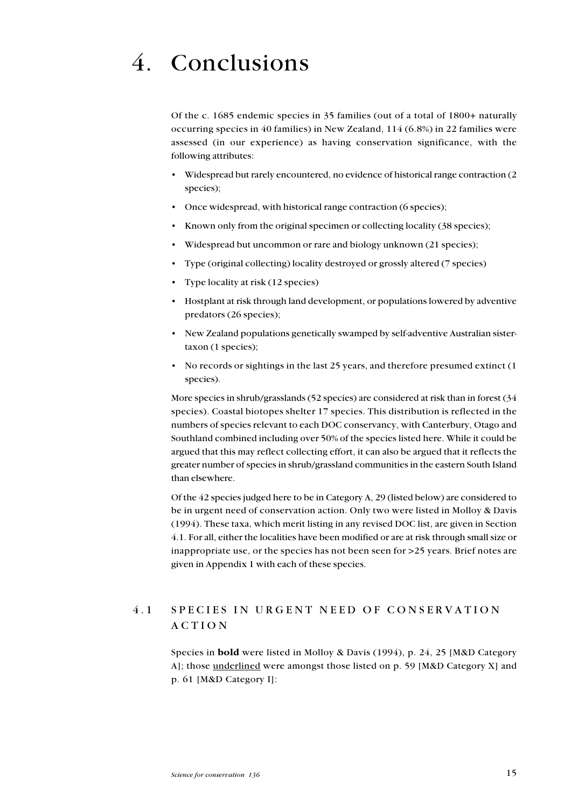# 4. Conclusions

Of the c. 1685 endemic species in 35 families (out of a total of 1800+ naturally occurring species in 40 families) in New Zealand, 114 (6.8%) in 22 families were assessed (in our experience) as having conservation significance, with the following attributes:

- Widespread but rarely encountered, no evidence of historical range contraction (2 species);
- Once widespread, with historical range contraction (6 species);
- Known only from the original specimen or collecting locality (38 species);
- Widespread but uncommon or rare and biology unknown (21 species);
- Type (original collecting) locality destroyed or grossly altered (7 species)
- Type locality at risk (12 species)
- Hostplant at risk through land development, or populations lowered by adventive predators (26 species);
- New Zealand populations genetically swamped by self-adventive Australian sistertaxon (1 species);
- No records or sightings in the last 25 years, and therefore presumed extinct (1) species).

More species in shrub/grasslands (52 species) are considered at risk than in forest (34 species). Coastal biotopes shelter 17 species. This distribution is reflected in the numbers of species relevant to each DOC conservancy, with Canterbury, Otago and Southland combined including over 50% of the species listed here. While it could be argued that this may reflect collecting effort, it can also be argued that it reflects the greater number of species in shrub/grassland communities in the eastern South Island than elsewhere.

Of the 42 species judged here to be in Category A, 29 (listed below) are considered to be in urgent need of conservation action. Only two were listed in Molloy & Davis (1994). These taxa, which merit listing in any revised DOC list, are given in Section 4.1. For all, either the localities have been modified or are at risk through small size or inappropriate use, or the species has not been seen for >25 years. Brief notes are given in Appendix 1 with each of these species.

### 4.1 SPECIES IN URGENT NEED OF CONSERVATION ACTION

Species in bold were listed in Molloy & Davis (1994), p. 24, 25 [M&D Category A]; those underlined were amongst those listed on p. 59 [M&D Category X] and p. 61 [M&D Category I]: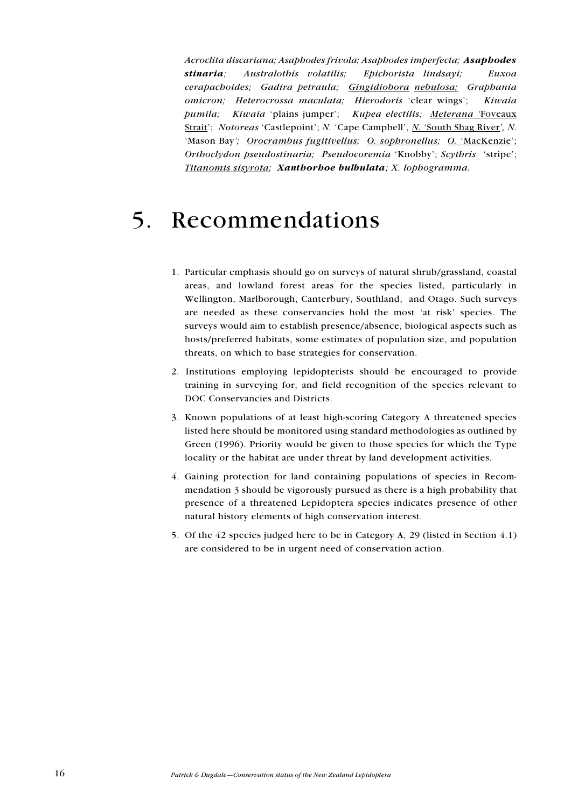Acroclita discariana; Asaphodes frivola; Asaphodes imperfecta; Asaphodes stinaria; Australothis volatilis; Epichorista lindsayi; Euxoa cerapachoides; Gadira petraula; Gingidiobora nebulosa; Graphania omicron; Heterocrossa maculata; Hierodoris 'clear wings'; Kiwaia pumila; Kiwaia 'plains jumper'; Kupea electilis; Meterana 'Foveaux Strait'; Notoreas 'Castlepoint'; N. 'Cape Campbell', N. 'South Shag River', N. 'Mason Bay'; *Orocrambus fugitivellus*; *O. sophronellus*; *O. 'MacKenzie'*; Orthoclydon pseudostinaria; Pseudocoremia 'Knobby'; Scythris 'stripe'; Titanomis sisyrota; Xanthorhoe bulbulata; X. lophogramma.

## 5. Recommendations

- 1. Particular emphasis should go on surveys of natural shrub/grassland, coastal areas, and lowland forest areas for the species listed, particularly in Wellington, Marlborough, Canterbury, Southland, and Otago. Such surveys are needed as these conservancies hold the most 'at risk' species. The surveys would aim to establish presence/absence, biological aspects such as hosts/preferred habitats, some estimates of population size, and population threats, on which to base strategies for conservation.
- 2. Institutions employing lepidopterists should be encouraged to provide training in surveying for, and field recognition of the species relevant to DOC Conservancies and Districts.
- 3. Known populations of at least high-scoring Category A threatened species listed here should be monitored using standard methodologies as outlined by Green (1996). Priority would be given to those species for which the Type locality or the habitat are under threat by land development activities.
- 4. Gaining protection for land containing populations of species in Recommendation 3 should be vigorously pursued as there is a high probability that presence of a threatened Lepidoptera species indicates presence of other natural history elements of high conservation interest.
- 5. Of the 42 species judged here to be in Category A, 29 (listed in Section 4.1) are considered to be in urgent need of conservation action.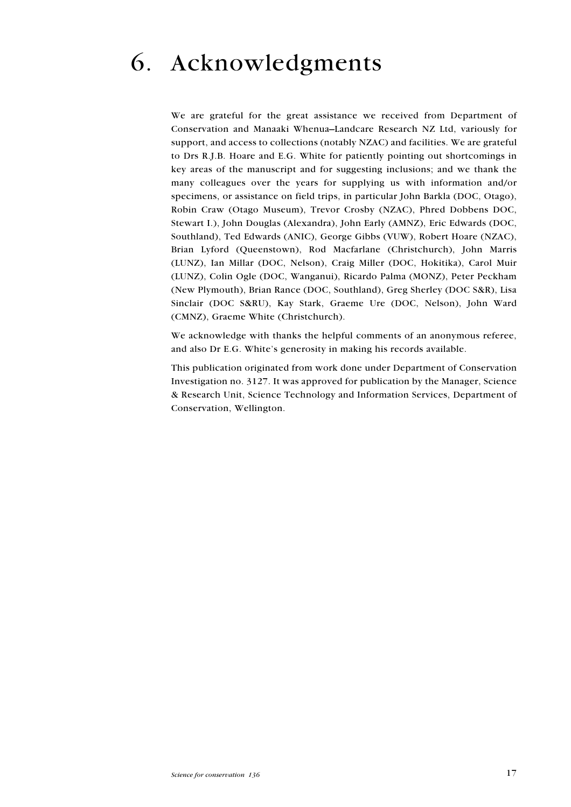# 6. Acknowledgments

We are grateful for the great assistance we received from Department of Conservation and Manaaki Whenua-Landcare Research NZ Ltd, variously for support, and access to collections (notably NZAC) and facilities. We are grateful to Drs R.J.B. Hoare and E.G. White for patiently pointing out shortcomings in key areas of the manuscript and for suggesting inclusions; and we thank the many colleagues over the years for supplying us with information and/or specimens, or assistance on field trips, in particular John Barkla (DOC, Otago), Robin Craw (Otago Museum), Trevor Crosby (NZAC), Phred Dobbens DOC, Stewart I.), John Douglas (Alexandra), John Early (AMNZ), Eric Edwards (DOC, Southland), Ted Edwards (ANIC), George Gibbs (VUW), Robert Hoare (NZAC), Brian Lyford (Queenstown), Rod Macfarlane (Christchurch), John Marris (LUNZ), Ian Millar (DOC, Nelson), Craig Miller (DOC, Hokitika), Carol Muir (LUNZ), Colin Ogle (DOC, Wanganui), Ricardo Palma (MONZ), Peter Peckham (New Plymouth), Brian Rance (DOC, Southland), Greg Sherley (DOC S&R), Lisa Sinclair (DOC S&RU), Kay Stark, Graeme Ure (DOC, Nelson), John Ward (CMNZ), Graeme White (Christchurch).

We acknowledge with thanks the helpful comments of an anonymous referee, and also Dr E.G. White's generosity in making his records available.

This publication originated from work done under Department of Conservation Investigation no. 3127. It was approved for publication by the Manager, Science & Research Unit, Science Technology and Information Services, Department of Conservation, Wellington.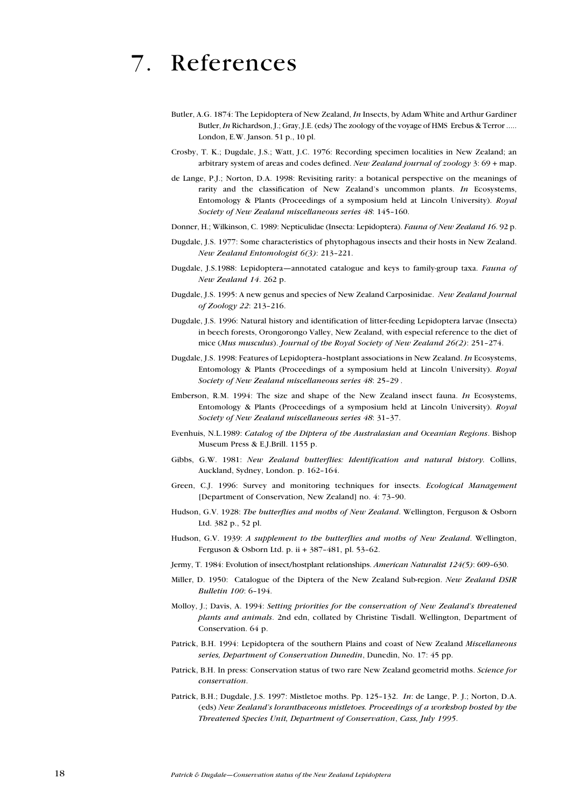## 7. References

- Butler, A.G. 1874: The Lepidoptera of New Zealand, In Insects, by Adam White and Arthur Gardiner Butler, In Richardson, J.; Gray, J.E. (eds) The zoology of the voyage of HMS Erebus & Terror ..... London, E.W. Janson. 51 p., 10 pl.
- Crosby, T. K.; Dugdale, J.S.; Watt, J.C. 1976: Recording specimen localities in New Zealand; an arbitrary system of areas and codes defined. New Zealand journal of zoology  $3:69 + \text{map}$ .
- de Lange, P.J.; Norton, D.A. 1998: Revisiting rarity: a botanical perspective on the meanings of rarity and the classification of New Zealand's uncommon plants. In Ecosystems, Entomology & Plants (Proceedings of a symposium held at Lincoln University). Royal Society of New Zealand miscellaneous series 48: 145-160.
- Donner, H.; Wilkinson, C. 1989: Nepticulidae (Insecta: Lepidoptera). Fauna of New Zealand 16. 92 p.
- Dugdale, J.S. 1977: Some characteristics of phytophagous insects and their hosts in New Zealand. New Zealand Entomologist 6(3): 213-221.
- Dugdale, J.S.1988: Lepidoptera—annotated catalogue and keys to family-group taxa. Fauna of New Zealand 14. 262 p.
- Dugdale, J.S. 1995: A new genus and species of New Zealand Carposinidae. New Zealand Journal of Zoology 22: 213-216.
- Dugdale, J.S. 1996: Natural history and identification of litter-feeding Lepidoptera larvae (Insecta) in beech forests, Orongorongo Valley, New Zealand, with especial reference to the diet of mice (Mus musculus). Journal of the Royal Society of New Zealand  $26(2)$ : 251-274.
- Dugdale, J.S. 1998: Features of Lepidoptera-hostplant associations in New Zealand. In Ecosystems, Entomology & Plants (Proceedings of a symposium held at Lincoln University). Royal Society of New Zealand miscellaneous series 48: 25-29.
- Emberson, R.M. 1994: The size and shape of the New Zealand insect fauna. In Ecosystems, Entomology & Plants (Proceedings of a symposium held at Lincoln University). Royal Society of New Zealand miscellaneous series 48: 31-37.
- Evenhuis, N.L.1989: Catalog of the Diptera of the Australasian and Oceanian Regions. Bishop Museum Press & E.J.Brill. 1155 p.
- Gibbs, G.W. 1981: New Zealand butterflies: Identification and natural bistory. Collins, Auckland, Sydney, London. p. 162-164.
- Green, C.J. 1996: Survey and monitoring techniques for insects. Ecological Management [Department of Conservation, New Zealand] no. 4: 73-90.
- Hudson, G.V. 1928: The butterflies and moths of New Zealand. Wellington, Ferguson & Osborn Ltd. 382 p., 52 pl.
- Hudson, G.V. 1939: A supplement to the butterflies and moths of New Zealand. Wellington, Ferguson & Osborn Ltd. p. ii  $+ 387 - 481$ , pl. 53-62.
- Jermy, T. 1984: Evolution of insect/hostplant relationships. American Naturalist 124(5): 609-630.
- Miller, D. 1950: Catalogue of the Diptera of the New Zealand Sub-region. New Zealand DSIR Bulletin 100: 6-194.
- Molloy, J.; Davis, A. 1994: Setting priorities for the conservation of New Zealand's threatened plants and animals. 2nd edn, collated by Christine Tisdall. Wellington, Department of Conservation. 64 p.
- Patrick, B.H. 1994: Lepidoptera of the southern Plains and coast of New Zealand Miscellaneous series, Department of Conservation Dunedin, Dunedin, No. 17: 45 pp.
- Patrick, B.H. In press: Conservation status of two rare New Zealand geometrid moths. Science for conservation.
- Patrick, B.H.; Dugdale, J.S. 1997: Mistletoe moths. Pp. 125-132. In: de Lange, P. J.; Norton, D.A. (eds) New Zealand's loranthaceous mistletoes. Proceedings of a workshop hosted by the Threatened Species Unit, Department of Conservation, Cass, July 1995.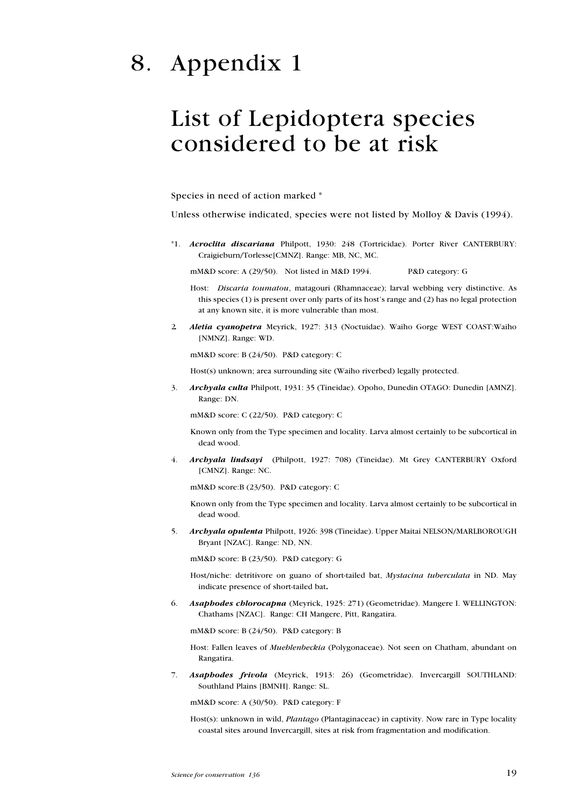# 8. Appendix 1

### List of Lepidoptera species considered to be at risk

Species in need of action marked \*

Unless otherwise indicated, species were not listed by Molloy & Davis (1994).

\*1. Acroclita discariana Philpott, 1930: 248 (Tortricidae). Porter River CANTERBURY: Craigieburn/Torlesse[CMNZ]. Range: MB, NC, MC.

mM&D score: A (29/50). Not listed in M&D 1994. P&D category: G

Host: Discaria toumatou, matagouri (Rhamnaceae); larval webbing very distinctive. As this species  $(1)$  is present over only parts of its host's range and  $(2)$  has no legal protection at any known site, it is more vulnerable than most.

2. Aletia cyanopetra Meyrick, 1927: 313 (Noctuidae). Waiho Gorge WEST COAST: Waiho [NMNZ]. Range: WD.

mM&D score: B (24/50). P&D category: C

Host(s) unknown; area surrounding site (Waiho riverbed) legally protected.

3. Archyala culta Philpott, 1931: 35 (Tineidae). Opoho, Dunedin OTAGO: Dunedin [AMNZ]. Range: DN.

mM&D score: C (22/50). P&D category: C

Known only from the Type specimen and locality. Larva almost certainly to be subcortical in dead wood.

4. Archyala lindsayi (Philpott, 1927: 708) (Tineidae). Mt Grey CANTERBURY Oxford [CMNZ]. Range: NC.

mM&D score:B (23/50). P&D category: C

Known only from the Type specimen and locality. Larva almost certainly to be subcortical in dead wood.

5. Archyala opulenta Philpott, 1926: 398 (Tineidae). Upper Maitai NELSON/MARLBOROUGH Bryant [NZAC]. Range: ND, NN.

mM&D score: B (23/50). P&D category: G

Host/niche: detritivore on guano of short-tailed bat, Mystacina tuberculata in ND. May indicate presence of short-tailed bat.

6. Asaphodes chlorocapna (Meyrick, 1925: 271) (Geometridae). Mangere I. WELLINGTON: Chathams [NZAC]. Range: CH Mangere, Pitt, Rangatira.

mM&D score: B (24/50). P&D category: B

Host: Fallen leaves of *Muehlenbeckia* (Polygonaceae). Not seen on Chatham, abundant on Rangatira.

7. Asaphodes frivola (Meyrick, 1913: 26) (Geometridae). Invercargill SOUTHLAND: Southland Plains [BMNH]. Range: SL.

mM&D score: A (30/50). P&D category: F

Host(s): unknown in wild, *Plantago* (Plantaginaceae) in captivity. Now rare in Type locality coastal sites around Invercargill, sites at risk from fragmentation and modification.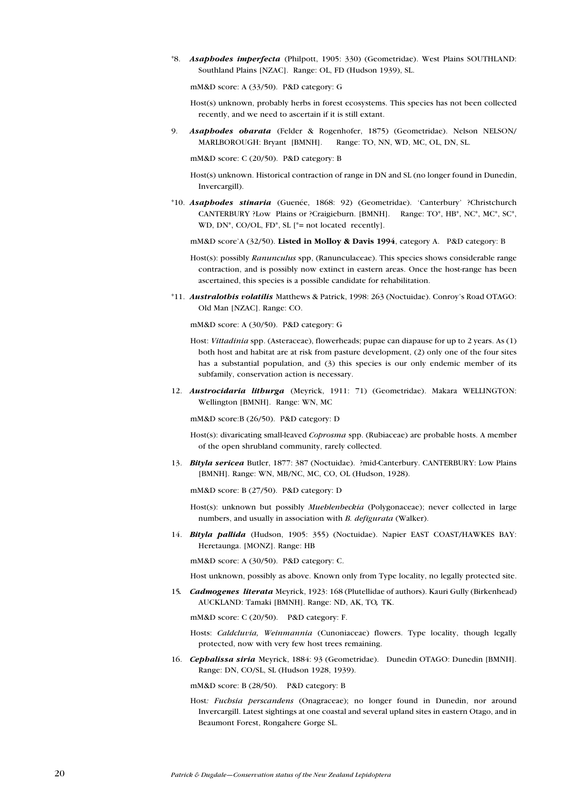\*8. Asaphodes imperfecta (Philpott, 1905: 330) (Geometridae). West Plains SOUTHLAND: Southland Plains [NZAC]. Range: OL, FD (Hudson 1939), SL.

mM&D score: A (33/50). P&D category: G

Host(s) unknown, probably herbs in forest ecosystems. This species has not been collected recently, and we need to ascertain if it is still extant.

9. Asaphodes obarata (Felder & Rogenhofer, 1875) (Geometridae). Nelson NELSON/ MARLBOROUGH: Bryant [BMNH]. Range: TO, NN, WD, MC, OL, DN, SL.

mM&D score: C (20/50). P&D category: B

Host(s) unknown. Historical contraction of range in DN and SL (no longer found in Dunedin, Invercargill).

\*10. Asaphodes stinaria (Guenée, 1868: 92) (Geometridae). 'Canterbury' ?Christchurch CANTERBURY ?Low Plains or ?Craigieburn. [BMNH]. Range: TO\*, HB\*, NC\*, MC\*, SC\*, WD, DN<sup>\*</sup>, CO/OL, FD<sup>\*</sup>, SL [<sup>\*</sup>= not located recently].

mM&D score'A (32/50). Listed in Molloy & Davis 1994, category A. P&D category: B

Host(s): possibly Ranunculus spp, (Ranunculaceae). This species shows considerable range contraction, and is possibly now extinct in eastern areas. Once the host-range has been ascertained, this species is a possible candidate for rehabilitation.

\*11. Australothis volatilis Matthews & Patrick, 1998: 263 (Noctuidae). Conroys Road OTAGO: Old Man [NZAC]. Range: CO.

mM&D score: A (30/50). P&D category: G

- Host: *Vittadinia* spp. (Asteraceae), flowerheads; pupae can diapause for up to 2 years. As (1) both host and habitat are at risk from pasture development, (2) only one of the four sites has a substantial population, and (3) this species is our only endemic member of its subfamily, conservation action is necessary.
- 12. Austrocidaria lithurga (Meyrick, 1911: 71) (Geometridae). Makara WELLINGTON: Wellington [BMNH]. Range: WN, MC

mM&D score:B (26/50). P&D category: D

- Host(s): divaricating small-leaved Coprosma spp. (Rubiaceae) are probable hosts. A member of the open shrubland community, rarely collected.
- 13. Bityla sericea Butler, 1877: 387 (Noctuidae). ?mid-Canterbury. CANTERBURY: Low Plains [BMNH]. Range: WN, MB/NC, MC, CO, OL (Hudson, 1928).

mM&D score: B (27/50). P&D category: D

Host(s): unknown but possibly Muehlenbeckia (Polygonaceae); never collected in large numbers, and usually in association with B. defigurata (Walker).

14. Bityla pallida (Hudson, 1905: 355) (Noctuidae). Napier EAST COAST/HAWKES BAY: Heretaunga. [MONZ]. Range: HB

mM&D score: A (30/50). P&D category: C.

Host unknown, possibly as above. Known only from Type locality, no legally protected site.

15. Cadmogenes literata Meyrick, 1923: 168 (Plutellidae of authors). Kauri Gully (Birkenhead) AUCKLAND: Tamaki [BMNH]. Range: ND, AK, TO, TK.

mM&D score: C (20/50). P&D category: F.

Hosts: Caldcluvia, Weinmannia (Cunoniaceae) flowers. Type locality, though legally protected, now with very few host trees remaining.

16. Cephalissa siria Meyrick, 1884: 93 (Geometridae). Dunedin OTAGO: Dunedin [BMNH]. Range: DN, CO/SL, SL (Hudson 1928, 1939).

mM&D score: B (28/50). P&D category: B

Host: Fuchsia perscandens (Onagraceae); no longer found in Dunedin, nor around Invercargill. Latest sightings at one coastal and several upland sites in eastern Otago, and in Beaumont Forest, Rongahere Gorge SL.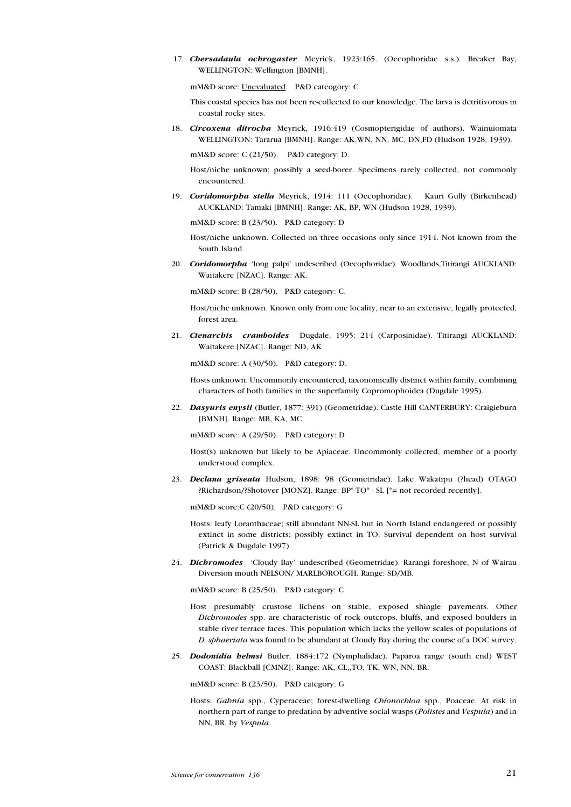17. Chersadaula ochrogaster Meyrick, 1923:165. (Oecophoridae s.s.). Breaker Bay, WELLINGTON: Wellington [BMNH].

mM&D score: Unevaluated. P&D cateogory: C

- This coastal species has not been re-collected to our knowledge. The larva is detritivorous in coastal rocky sites.
- 18. Circoxena ditrocha Meyrick, 1916:419 (Cosmopterigidae of authors). Wainuiomata WELLINGTON: Tararua [BMNH]. Range: AK,WN, NN, MC, DN,FD (Hudson 1928, 1939).

mM&D score: C (21/50). P&D category: D.

- Host/niche unknown; possibly a seed-borer. Specimens rarely collected, not commonly encountered.
- 19. Coridomorpha stella Meyrick, 1914: 111 (Oecophoridae). Kauri Gully (Birkenhead) AUCKLAND: Tamaki [BMNH]. Range: AK, BP, WN (Hudson 1928, 1939).

mM&D score: B (23/50). P&D category: D

- Host/niche unknown. Collected on three occasions only since 1914. Not known from the South Island.
- 20. Coridomorpha 'long palpi' undescribed (Oecophoridae). Woodlands,Titirangi AUCKLAND: Waitakere [NZAC]. Range: AK.

mM&D score: B (28/50). P&D category: C.

- Host/niche unknown. Known only from one locality, near to an extensive, legally protected, forest area.
- 21. Ctenarchis cramboides Dugdale, 1995: 214 (Carposinidae). Titirangi AUCKLAND: Waitakere.[NZAC]. Range: ND, AK

mM&D score: A (30/50). P&D category: D.

Hosts unknown. Uncommonly encountered, taxonomically distinct within family, combining characters of both families in the superfamily Copromophoidea (Dugdale 1995).

22. Dasyuris enysii (Butler, 1877: 391) (Geometridae). Castle Hill CANTERBURY: Craigieburn [BMNH]. Range: MB, KA, MC.

mM&D score: A (29/50). P&D category: D

- Host(s) unknown but likely to be Apiaceae. Uncommonly collected, member of a poorly understood complex.
- 23. Declana griseata Hudson, 1898: 98 (Geometridae). Lake Wakatipu (?head) OTAGO ?Richardson/?Shotover [MONZ]. Range: BP\*-TO\* - SL [\*= not recorded recently].

mM&D score:C (20/50). P&D category: G

- Hosts: leafy Loranthaceae; still abundant NN-SL but in North Island endangered or possibly extinct in some districts; possibly extinct in TO. Survival dependent on host survival (Patrick & Dugdale 1997).
- 24. **Dichromodes** 'Cloudy Bay' undescribed (Geometridae). Rarangi foreshore, N of Wairau Diversion mouth NELSON/ MARLBOROUGH. Range: SD/MB.

mM&D score: B (25/50). P&D category: C

- Host presumably crustose lichens on stable, exposed shingle pavements. Other Dichromodes spp. are characteristic of rock outcrops, bluffs, and exposed boulders in stable river terrace faces. This population which lacks the yellow scales of populations of D. sphaeriata was found to be abundant at Cloudy Bay during the course of a DOC survey.
- 25. **Dodonidia helmsi** Butler, 1884:172 (Nymphalidae). Paparoa range (south end) WEST COAST: Blackball [CMNZ]. Range: AK, CL,,TO, TK, WN, NN, BR.

mM&D score: B (23/50). P&D category: G

Hosts: Gahnia spp., Cyperaceae; forest-dwelling Chionochloa spp., Poaceae. At risk in northern part of range to predation by adventive social wasps (Polistes and Vespula) and in NN, BR, by Vespula.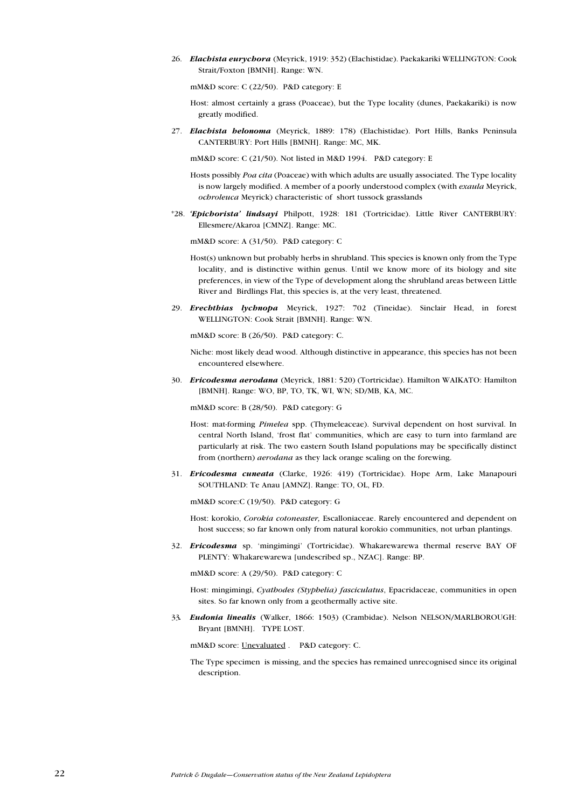26. Elachista eurychora (Meyrick, 1919: 352) (Elachistidae). Paekakariki WELLINGTON: Cook Strait/Foxton [BMNH]. Range: WN.

mM&D score: C (22/50). P&D category: E

Host: almost certainly a grass (Poaceae), but the Type locality (dunes, Paekakariki) is now greatly modified.

27. Elachista helonoma (Meyrick, 1889: 178) (Elachistidae). Port Hills, Banks Peninsula CANTERBURY: Port Hills [BMNH]. Range: MC, MK.

mM&D score: C (21/50). Not listed in M&D 1994. P&D category: E

- Hosts possibly Poa cita (Poaceae) with which adults are usually associated. The Type locality is now largely modified. A member of a poorly understood complex (with exaula Meyrick, ochroleuca Meyrick) characteristic of short tussock grasslands
- \*28. 'Epichorista' lindsayi Philpott, 1928: 181 (Tortricidae). Little River CANTERBURY: Ellesmere/Akaroa [CMNZ]. Range: MC.

mM&D score: A (31/50). P&D category: C

- Host(s) unknown but probably herbs in shrubland. This species is known only from the Type locality, and is distinctive within genus. Until we know more of its biology and site preferences, in view of the Type of development along the shrubland areas between Little River and Birdlings Flat, this species is, at the very least, threatened.
- 29. Erechthias lychnopa Meyrick, 1927: 702 (Tineidae). Sinclair Head, in forest WELLINGTON: Cook Strait [BMNH]. Range: WN.

mM&D score: B (26/50). P&D category: C.

- Niche: most likely dead wood. Although distinctive in appearance, this species has not been encountered elsewhere.
- 30. Ericodesma aerodana (Meyrick, 1881: 520) (Tortricidae). Hamilton WAIKATO: Hamilton [BMNH]. Range: WO, BP, TO, TK, WI, WN; SD/MB, KA, MC.

mM&D score: B (28/50). P&D category: G

- Host: mat-forming Pimelea spp. (Thymeleaceae). Survival dependent on host survival. In central North Island, 'frost flat' communities, which are easy to turn into farmland are particularly at risk. The two eastern South Island populations may be specifically distinct from (northern) aerodana as they lack orange scaling on the forewing.
- 31. Ericodesma cuneata (Clarke, 1926: 419) (Tortricidae). Hope Arm, Lake Manapouri SOUTHLAND: Te Anau [AMNZ]. Range: TO, OL, FD.

mM&D score:C (19/50). P&D category: G

Host: korokio, Corokia cotoneaster, Escalloniaceae. Rarely encountered and dependent on host success; so far known only from natural korokio communities, not urban plantings.

32. Ericodesma sp. 'mingimingi' (Tortricidae). Whakarewarewa thermal reserve BAY OF PLENTY: Whakarewarewa [undescribed sp., NZAC]. Range: BP.

mM&D score: A (29/50). P&D category: C

Host: mingimingi, Cyathodes (Styphelia) fasciculatus, Epacridaceae, communities in open sites. So far known only from a geothermally active site.

33. Eudonia linealis (Walker, 1866: 1503) (Crambidae). Nelson NELSON/MARLBOROUGH: Bryant [BMNH]. TYPE LOST.

mM&D score: Unevaluated . P&D category: C.

The Type specimen is missing, and the species has remained unrecognised since its original description.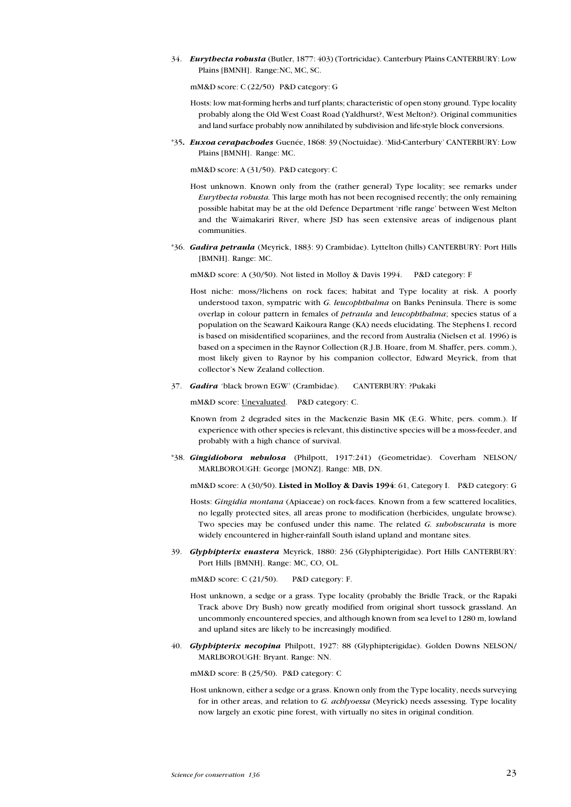34. Eurythecta robusta (Butler, 1877: 403) (Tortricidae). Canterbury Plains CANTERBURY: Low Plains [BMNH]. Range:NC, MC, SC.

mM&D score: C (22/50) P&D category: G

- Hosts: low mat-forming herbs and turf plants; characteristic of open stony ground. Type locality probably along the Old West Coast Road (Yaldhurst?, West Melton?). Original communities and land surface probably now annihilated by subdivision and life-style block conversions.
- \*35. Euxoa cerapachodes Guenée, 1868: 39 (Noctuidae). 'Mid-Canterbury' CANTERBURY: Low Plains [BMNH]. Range: MC.

mM&D score: A (31/50). P&D category: C

- Host unknown. Known only from the (rather general) Type locality; see remarks under Eurythecta robusta. This large moth has not been recognised recently; the only remaining possible habitat may be at the old Defence Department 'rifle range' between West Melton and the Waimakariri River, where JSD has seen extensive areas of indigenous plant communities.
- \*36. Gadira petraula (Meyrick, 1883: 9) Crambidae). Lyttelton (hills) CANTERBURY: Port Hills [BMNH]. Range: MC.

mM&D score: A (30/50). Not listed in Molloy & Davis 1994. P&D category: F

- Host niche: moss/?lichens on rock faces; habitat and Type locality at risk. A poorly understood taxon, sympatric with G. leucophthalma on Banks Peninsula. There is some overlap in colour pattern in females of *petraula* and *leucophthalma*; species status of a population on the Seaward Kaikoura Range (KA) needs elucidating. The Stephens I. record is based on misidentified scopariines, and the record from Australia (Nielsen et al. 1996) is based on a specimen in the Raynor Collection (R.J.B. Hoare, from M. Shaffer, pers. comm.), most likely given to Raynor by his companion collector, Edward Meyrick, from that collector's New Zealand collection.
- 37. Gadira 'black brown EGW' (Crambidae). CANTERBURY: ?Pukaki

mM&D score: Unevaluated. P&D category: C.

- Known from 2 degraded sites in the Mackenzie Basin MK (E.G. White, pers. comm.). If experience with other species is relevant, this distinctive species will be a moss-feeder, and probably with a high chance of survival.
- \*38. Gingidiobora nebulosa (Philpott, 1917:241) (Geometridae). Coverham NELSON/ MARLBOROUGH: George [MONZ]. Range: MB, DN.

mM&D score: A (30/50). Listed in Molloy & Davis 1994: 61, Category I. P&D category: G

- Hosts: Gingidia montana (Apiaceae) on rock-faces. Known from a few scattered localities, no legally protected sites, all areas prone to modification (herbicides, ungulate browse). Two species may be confused under this name. The related G. subobscurata is more widely encountered in higher-rainfall South island upland and montane sites.
- 39. Glyphipterix euastera Meyrick, 1880: 236 (Glyphipterigidae). Port Hills CANTERBURY: Port Hills [BMNH]. Range: MC, CO, OL.

mM&D score: C (21/50). P&D category: F.

- Host unknown, a sedge or a grass. Type locality (probably the Bridle Track, or the Rapaki Track above Dry Bush) now greatly modified from original short tussock grassland. An uncommonly encountered species, and although known from sea level to 1280 m, lowland and upland sites are likely to be increasingly modified.
- 40. Glyphipterix necopina Philpott, 1927: 88 (Glyphipterigidae). Golden Downs NELSON/ MARLBOROUGH: Bryant. Range: NN.

mM&D score: B (25/50). P&D category: C

Host unknown, either a sedge or a grass. Known only from the Type locality, needs surveying for in other areas, and relation to G. achlyoessa (Meyrick) needs assessing. Type locality now largely an exotic pine forest, with virtually no sites in original condition.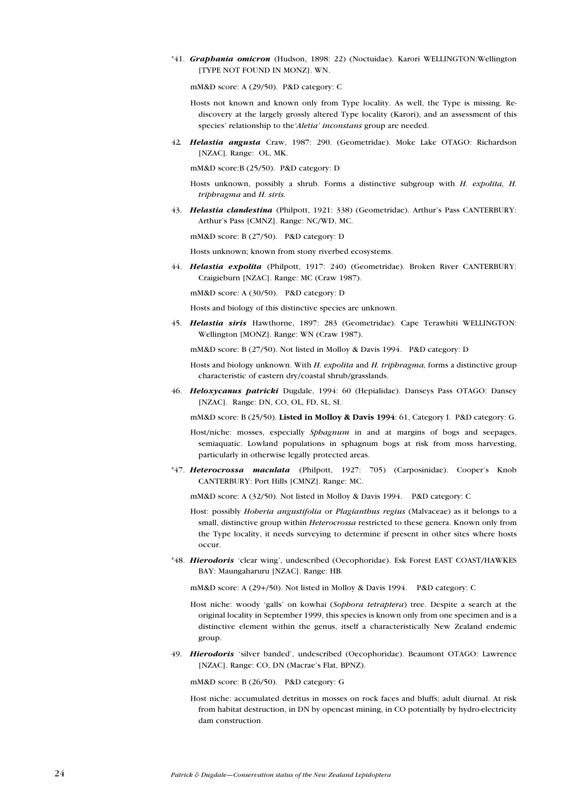\*41. Graphania omicron (Hudson, 1898: 22) (Noctuidae). Karori WELLINGTON:Wellington [TYPE NOT FOUND IN MONZ]. WN.

mM&D score: A (29/50). P&D category: C

- Hosts not known and known only from Type locality. As well, the Type is missing. Rediscovery at the largely grossly altered Type locality (Karori), and an assessment of this species' relationship to the'Aletia' inconstans group are needed.
- 42. Helastia angusta Craw, 1987: 290. (Geometridae). Moke Lake OTAGO: Richardson [NZAC]. Range: OL, MK.

mM&D score:B (25/50). P&D category: D

- Hosts unknown, possibly a shrub. Forms a distinctive subgroup with H. expolita, H. triphragma and H. siris.
- 43. Helastia clandestina (Philpott, 1921: 338) (Geometridae). Arthur's Pass CANTERBURY: Arthur's Pass [CMNZ]. Range: NC/WD, MC.

mM&D score: B (27/50). P&D category: D

Hosts unknown; known from stony riverbed ecosystems.

44. Helastia expolita (Philpott, 1917: 240) (Geometridae). Broken River CANTERBURY: Craigieburn [NZAC]. Range: MC (Craw 1987).

mM&D score: A (30/50). P&D category: D

Hosts and biology of this distinctive species are unknown.

45. Helastia siris Hawthorne, 1897: 283 (Geometridae). Cape Terawhiti WELLINGTON: Wellington [MONZ]. Range: WN (Craw 1987).

mM&D score: B (27/50). Not listed in Molloy & Davis 1994. P&D category: D

- Hosts and biology unknown. With H. expolita and H. triphragma, forms a distinctive group characteristic of eastern dry/coastal shrub/grasslands.
- 46. Heloxycanus patricki Dugdale, 1994: 60 (Hepialidae). Danseys Pass OTAGO: Dansey [NZAC]. Range: DN, CO, OL, FD, SL, SI.

mM&D score: B (25/50). Listed in Molloy & Davis 1994: 61, Category I. P&D category: G.

- Host/niche: mosses, especially Sphagnum in and at margins of bogs and seepages, semiaquatic. Lowland populations in sphagnum bogs at risk from moss harvesting, particularly in otherwise legally protected areas.
- \*47. Heterocrossa maculata (Philpott, 1927: 705) (Carposinidae). Cooper's Knob CANTERBURY: Port Hills [CMNZ]. Range: MC.

mM&D score: A (32/50). Not listed in Molloy & Davis 1994. P&D category: C

- Host: possibly Hoheria angustifolia or Plagianthus regius (Malvaceae) as it belongs to a small, distinctive group within *Heterocrossa* restricted to these genera. Known only from the Type locality, it needs surveying to determine if present in other sites where hosts occur.
- \*48. Hierodoris clear wing, undescribed (Oecophoridae). Esk Forest EAST COAST/HAWKES BAY: Maungaharuru [NZAC]. Range: HB.

mM&D score: A (29+/50). Not listed in Molloy & Davis 1994. P&D category: C

- Host niche: woody 'galls' on kowhai (Sophora tetraptera) tree. Despite a search at the original locality in September 1999, this species is known only from one specimen and is a distinctive element within the genus, itself a characteristically New Zealand endemic group.
- 49. Hierodoris 'silver banded', undescribed (Oecophoridae). Beaumont OTAGO: Lawrence [NZAC]. Range: CO, DN (Macrae's Flat, BPNZ).

mM&D score: B (26/50). P&D category: G

Host niche: accumulated detritus in mosses on rock faces and bluffs; adult diurnal. At risk from habitat destruction, in DN by opencast mining, in CO potentially by hydro-electricity dam construction.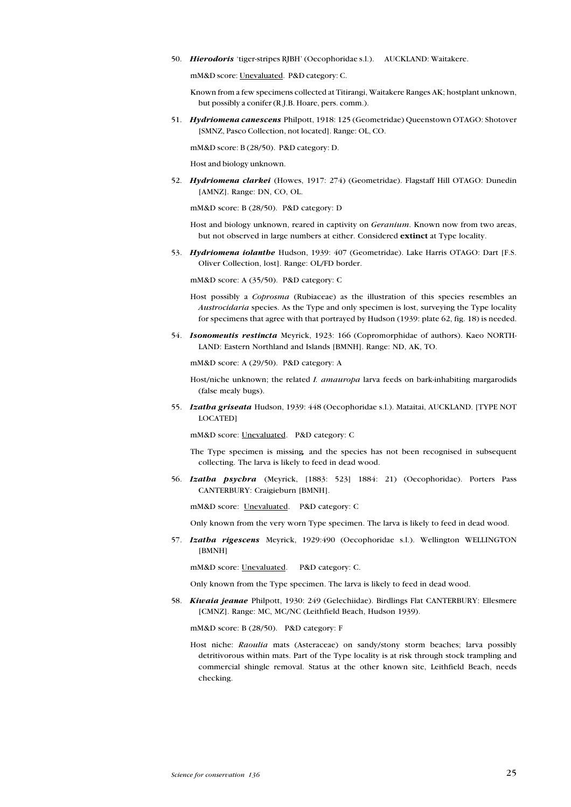50. Hierodoris 'tiger-stripes RJBH' (Oecophoridae s.l.). AUCKLAND: Waitakere.

mM&D score: Unevaluated. P&D category: C.

Known from a few specimens collected at Titirangi, Waitakere Ranges AK; hostplant unknown, but possibly a conifer (R.J.B. Hoare, pers. comm.).

51. Hydriomena canescens Philpott, 1918: 125 (Geometridae) Queenstown OTAGO: Shotover [SMNZ, Pasco Collection, not located]. Range: OL, CO.

mM&D score: B (28/50). P&D category: D.

Host and biology unknown.

52. Hydriomena clarkei (Howes, 1917: 274) (Geometridae). Flagstaff Hill OTAGO: Dunedin [AMNZ]. Range: DN, CO, OL.

mM&D score: B (28/50). P&D category: D

Host and biology unknown, reared in captivity on Geranium. Known now from two areas, but not observed in large numbers at either. Considered extinct at Type locality.

53. Hydriomena iolanthe Hudson, 1939: 407 (Geometridae). Lake Harris OTAGO: Dart [F.S. Oliver Collection, lost]. Range: OL/FD border.

mM&D score: A (35/50). P&D category: C

- Host possibly a Coprosma (Rubiaceae) as the illustration of this species resembles an Austrocidaria species. As the Type and only specimen is lost, surveying the Type locality for specimens that agree with that portrayed by Hudson (1939: plate 62, fig. 18) is needed.
- 54. Isonomeutis restincta Meyrick, 1923: 166 (Copromorphidae of authors). Kaeo NORTH-LAND: Eastern Northland and Islands [BMNH]. Range: ND, AK, TO.

mM&D score: A (29/50). P&D category: A

Host/niche unknown; the related I. amauropa larva feeds on bark-inhabiting margarodids (false mealy bugs).

55. Izatha griseata Hudson, 1939: 448 (Oecophoridae s.l.). Mataitai, AUCKLAND. [TYPE NOT LOCATED]

mM&D score: Unevaluated. P&D category: C

- The Type specimen is missing, and the species has not been recognised in subsequent collecting. The larva is likely to feed in dead wood.
- 56. Izatha psychra (Meyrick, [1883: 523] 1884: 21) (Oecophoridae). Porters Pass CANTERBURY: Craigieburn [BMNH].

mM&D score: Unevaluated. P&D category: C

Only known from the very worn Type specimen. The larva is likely to feed in dead wood.

57. Izatha rigescens Meyrick, 1929:490 (Oecophoridae s.l.). Wellington WELLINGTON [BMNH]

mM&D score: Unevaluated. P&D category: C.

Only known from the Type specimen. The larva is likely to feed in dead wood.

58. Kiwaia jeanae Philpott, 1930: 249 (Gelechiidae). Birdlings Flat CANTERBURY: Ellesmere [CMNZ]. Range: MC, MC/NC (Leithfield Beach, Hudson 1939).

mM&D score: B (28/50). P&D category: F

Host niche: Raoulia mats (Asteraceae) on sandy/stony storm beaches; larva possibly detritivorous within mats. Part of the Type locality is at risk through stock trampling and commercial shingle removal. Status at the other known site, Leithfield Beach, needs checking.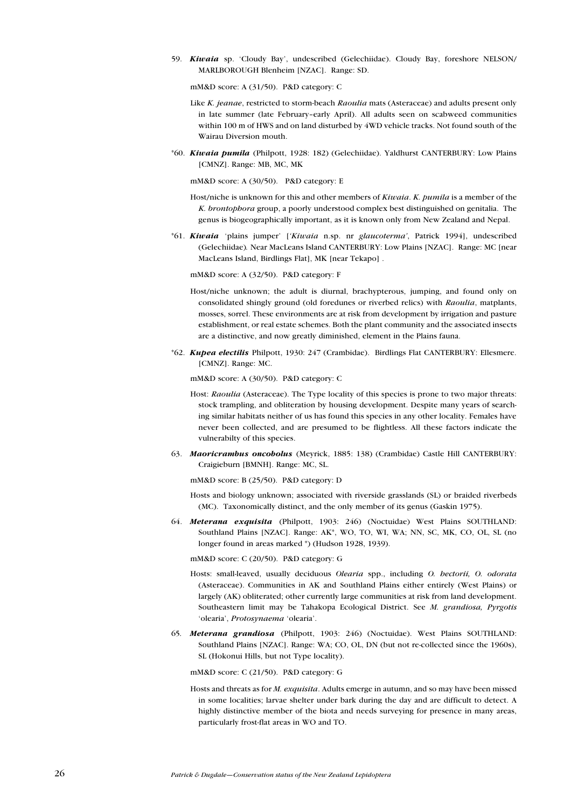59. Kiwaia sp. Cloudy Bay, undescribed (Gelechiidae). Cloudy Bay, foreshore NELSON/ MARLBOROUGH Blenheim [NZAC]. Range: SD.

mM&D score: A (31/50). P&D category: C

- Like *K. jeanae*, restricted to storm-beach *Raoulia* mats (Asteraceae) and adults present only in late summer (late February-early April). All adults seen on scabweed communities within 100 m of HWS and on land disturbed by 4WD vehicle tracks. Not found south of the Wairau Diversion mouth.
- \*60. Kiwaia pumila (Philpott, 1928: 182) (Gelechiidae). Yaldhurst CANTERBURY: Low Plains [CMNZ]. Range: MB, MC, MK

mM&D score: A (30/50). P&D category: E

- Host/niche is unknown for this and other members of Kiwaia. K. pumila is a member of the K. brontophora group, a poorly understood complex best distinguished on genitalia. The genus is biogeographically important, as it is known only from New Zealand and Nepal.
- \*61. Kiwaia 'plains jumper' ['Kiwaia n.sp. nr glaucoterma', Patrick 1994], undescribed (Gelechiidae). Near MacLeans Island CANTERBURY: Low Plains [NZAC]. Range: MC [near MacLeans Island, Birdlings Flat], MK [near Tekapo] .

mM&D score: A (32/50). P&D category: F

- Host/niche unknown; the adult is diurnal, brachypterous, jumping, and found only on consolidated shingly ground (old foredunes or riverbed relics) with Raoulia, matplants, mosses, sorrel. These environments are at risk from development by irrigation and pasture establishment, or real estate schemes. Both the plant community and the associated insects are a distinctive, and now greatly diminished, element in the Plains fauna.
- \*62. Kupea electilis Philpott, 1930: 247 (Crambidae). Birdlings Flat CANTERBURY: Ellesmere. [CMNZ]. Range: MC.

mM&D score: A (30/50). P&D category: C

- Host: Raoulia (Asteraceae). The Type locality of this species is prone to two major threats: stock trampling, and obliteration by housing development. Despite many years of searching similar habitats neither of us has found this species in any other locality. Females have never been collected, and are presumed to be flightless. All these factors indicate the vulnerabilty of this species.
- 63. Maoricrambus oncobolus (Meyrick, 1885: 138) (Crambidae) Castle Hill CANTERBURY: Craigieburn [BMNH]. Range: MC, SL.

mM&D score: B (25/50). P&D category: D

- Hosts and biology unknown; associated with riverside grasslands (SL) or braided riverbeds (MC). Taxonomically distinct, and the only member of its genus (Gaskin 1975).
- 64. Meterana exquisita (Philpott, 1903: 246) (Noctuidae) West Plains SOUTHLAND: Southland Plains [NZAC]. Range: AK\*, WO, TO, WI, WA; NN, SC, MK, CO, OL, SL (no longer found in areas marked \*) (Hudson 1928, 1939).

mM&D score: C (20/50). P&D category: G

- Hosts: small-leaved, usually deciduous Olearia spp., including O. hectorii, O. odorata (Asteraceae). Communities in AK and Southland Plains either entirely (West Plains) or largely (AK) obliterated; other currently large communities at risk from land development. Southeastern limit may be Tahakopa Ecological District. See M. grandiosa, Pyrgotis 'olearia', Protosynaema 'olearia'.
- 65. Meterana grandiosa (Philpott, 1903: 246) (Noctuidae). West Plains SOUTHLAND: Southland Plains [NZAC]. Range: WA; CO, OL, DN (but not re-collected since the 1960s), SL (Hokonui Hills, but not Type locality).

mM&D score: C (21/50). P&D category: G

Hosts and threats as for M. exquisita. Adults emerge in autumn, and so may have been missed in some localities; larvae shelter under bark during the day and are difficult to detect. A highly distinctive member of the biota and needs surveying for presence in many areas, particularly frost-flat areas in WO and TO.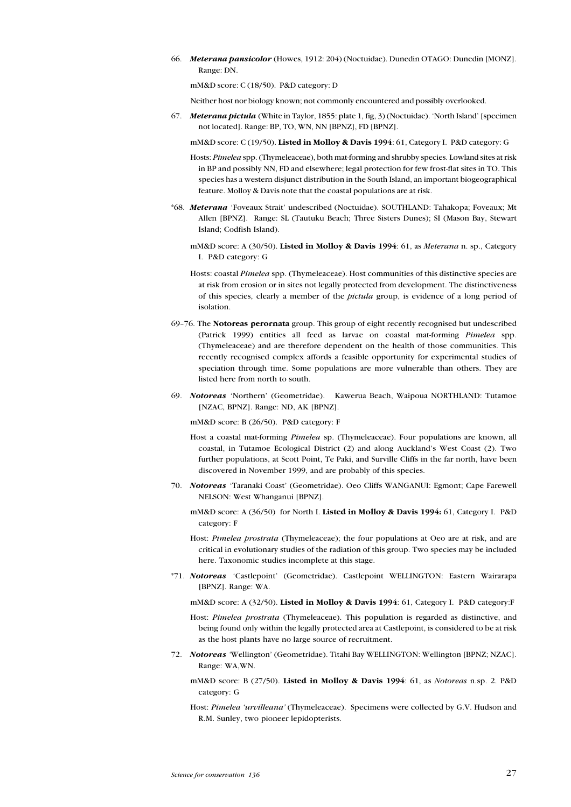66. Meterana pansicolor (Howes, 1912: 204) (Noctuidae). Dunedin OTAGO: Dunedin [MONZ]. Range: DN.

mM&D score: C (18/50). P&D category: D

Neither host nor biology known; not commonly encountered and possibly overlooked.

67. Meterana pictula (White in Taylor, 1855: plate 1, fig. 3) (Noctuidae). 'North Island' [specimen] not located]. Range: BP, TO, WN, NN [BPNZ], FD [BPNZ].

mM&D score: C (19/50). Listed in Molloy & Davis 1994: 61, Category I. P&D category: G

- Hosts: Pimelea spp. (Thymeleaceae), both mat-forming and shrubby species. Lowland sites at risk in BP and possibly NN, FD and elsewhere; legal protection for few frost-flat sites in TO. This species has a western disjunct distribution in the South Island, an important biogeographical feature. Molloy & Davis note that the coastal populations are at risk.
- \*68. Meterana Foveaux Strait undescribed (Noctuidae). SOUTHLAND: Tahakopa; Foveaux; Mt Allen [BPNZ]. Range: SL (Tautuku Beach; Three Sisters Dunes); SI (Mason Bay, Stewart Island; Codfish Island).
	- mM&D score: A (30/50). Listed in Molloy & Davis 1994: 61, as Meterana n. sp., Category I. P&D category: G
	- Hosts: coastal Pimelea spp. (Thymeleaceae). Host communities of this distinctive species are at risk from erosion or in sites not legally protected from development. The distinctiveness of this species, clearly a member of the pictula group, is evidence of a long period of isolation.
- 6976. The Notoreas perornata group. This group of eight recently recognised but undescribed (Patrick 1999) entities all feed as larvae on coastal mat-forming Pimelea spp. (Thymeleaceae) and are therefore dependent on the health of those communities. This recently recognised complex affords a feasible opportunity for experimental studies of speciation through time. Some populations are more vulnerable than others. They are listed here from north to south.
- 69. Notoreas 'Northern' (Geometridae). Kawerua Beach, Waipoua NORTHLAND: Tutamoe [NZAC, BPNZ]. Range: ND, AK [BPNZ].

mM&D score: B (26/50). P&D category: F

- Host a coastal mat-forming Pimelea sp. (Thymeleaceae). Four populations are known, all coastal, in Tutamoe Ecological District (2) and along Auckland's West Coast (2). Two further populations, at Scott Point, Te Paki, and Surville Cliffs in the far north, have been discovered in November 1999, and are probably of this species.
- 70. Notoreas 'Taranaki Coast' (Geometridae). Oeo Cliffs WANGANUI: Egmont; Cape Farewell NELSON: West Whanganui [BPNZ].
	- mM&D score: A (36/50) for North I. Listed in Molloy & Davis 1994: 61, Category I. P&D category: F
	- Host: Pimelea prostrata (Thymeleaceae); the four populations at Oeo are at risk, and are critical in evolutionary studies of the radiation of this group. Two species may be included here. Taxonomic studies incomplete at this stage.
- \*71. Notoreas Castlepoint (Geometridae). Castlepoint WELLINGTON: Eastern Wairarapa [BPNZ]. Range: WA.

mM&D score: A (32/50). Listed in Molloy & Davis 1994: 61, Category I. P&D category:F

- Host: Pimelea prostrata (Thymeleaceae). This population is regarded as distinctive, and being found only within the legally protected area at Castlepoint, is considered to be at risk as the host plants have no large source of recruitment.
- 72. Notoreas 'Wellington' (Geometridae). Titahi Bay WELLINGTON: Wellington [BPNZ; NZAC]. Range: WA,WN.
	- mM&D score: B (27/50). Listed in Molloy & Davis 1994: 61, as Notoreas n.sp. 2. P&D category: G
	- Host: Pimelea 'urvilleana' (Thymeleaceae). Specimens were collected by G.V. Hudson and R.M. Sunley, two pioneer lepidopterists.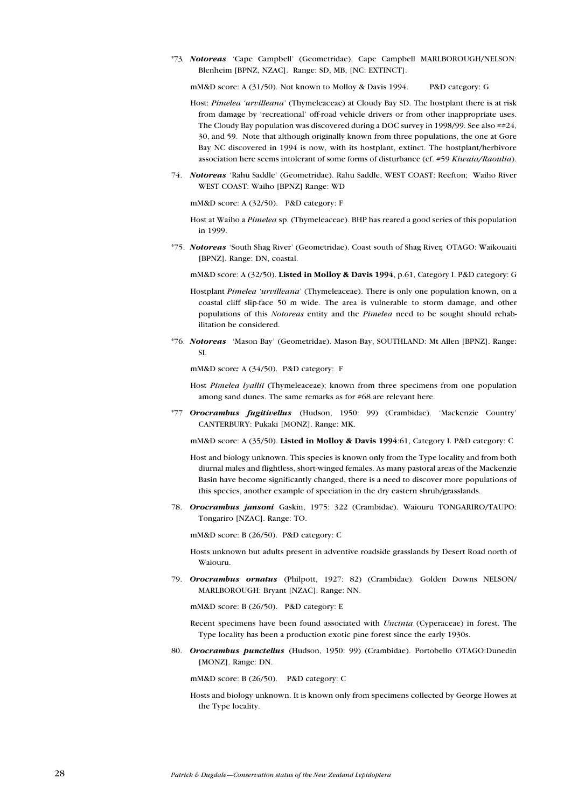\*73. Notoreas 'Cape Campbell' (Geometridae). Cape Campbell MARLBOROUGH/NELSON: Blenheim [BPNZ, NZAC]. Range: SD, MB, [NC: EXTINCT].

mM&D score: A (31/50). Not known to Molloy & Davis 1994. P&D category: G

- Host: *Pimelea 'urvilleana'* (Thymeleaceae) at Cloudy Bay SD. The hostplant there is at risk from damage by 'recreational' off-road vehicle drivers or from other inappropriate uses. The Cloudy Bay population was discovered during a DOC survey in 1998/99. See also ##24, 30, and 59. Note that although originally known from three populations, the one at Gore Bay NC discovered in 1994 is now, with its hostplant, extinct. The hostplant/herbivore association here seems intolerant of some forms of disturbance (cf. #59 Kiwaia/Raoulia).
- 74. Notoreas 'Rahu Saddle' (Geometridae). Rahu Saddle, WEST COAST: Reefton; Waiho River WEST COAST: Waiho [BPNZ] Range: WD

mM&D score: A (32/50). P&D category: F

- Host at Waiho a Pimelea sp. (Thymeleaceae). BHP has reared a good series of this population in 1999.
- \*75. Notoreas 'South Shag River' (Geometridae). Coast south of Shag River, OTAGO: Waikouaiti [BPNZ]. Range: DN, coastal.

mM&D score: A (32/50). Listed in Molloy & Davis 1994, p.61, Category I. P&D category: G

- Hostplant Pimelea 'urvilleana' (Thymeleaceae). There is only one population known, on a coastal cliff slip-face 50 m wide. The area is vulnerable to storm damage, and other populations of this Notoreas entity and the Pimelea need to be sought should rehabilitation be considered.
- \*76. Notoreas 'Mason Bay' (Geometridae). Mason Bay, SOUTHLAND: Mt Allen [BPNZ]. Range: SI.

mM&D score: A (34/50). P&D category: F

- Host Pimelea lyallii (Thymeleaceae); known from three specimens from one population among sand dunes. The same remarks as for #68 are relevant here.
- \*77 Orocrambus fugitivellus (Hudson, 1950: 99) (Crambidae). 'Mackenzie Country' CANTERBURY: Pukaki [MONZ]. Range: MK.

mM&D score: A (35/50). Listed in Molloy & Davis 1994:61, Category I. P&D category: C

- Host and biology unknown. This species is known only from the Type locality and from both diurnal males and flightless, short-winged females. As many pastoral areas of the Mackenzie Basin have become significantly changed, there is a need to discover more populations of this species, another example of speciation in the dry eastern shrub/grasslands.
- 78. Orocrambus jansoni Gaskin, 1975: 322 (Crambidae). Waiouru TONGARIRO/TAUPO: Tongariro [NZAC]. Range: TO.

mM&D score: B (26/50). P&D category: C

Hosts unknown but adults present in adventive roadside grasslands by Desert Road north of Waiouru.

79. Orocrambus ornatus (Philpott, 1927: 82) (Crambidae). Golden Downs NELSON/ MARLBOROUGH: Bryant [NZAC]. Range: NN.

mM&D score: B (26/50). P&D category: E

Recent specimens have been found associated with Uncinia (Cyperaceae) in forest. The Type locality has been a production exotic pine forest since the early 1930s.

80. Orocrambus punctellus (Hudson, 1950: 99) (Crambidae). Portobello OTAGO:Dunedin [MONZ]. Range: DN.

mM&D score: B (26/50). P&D category: C

Hosts and biology unknown. It is known only from specimens collected by George Howes at the Type locality.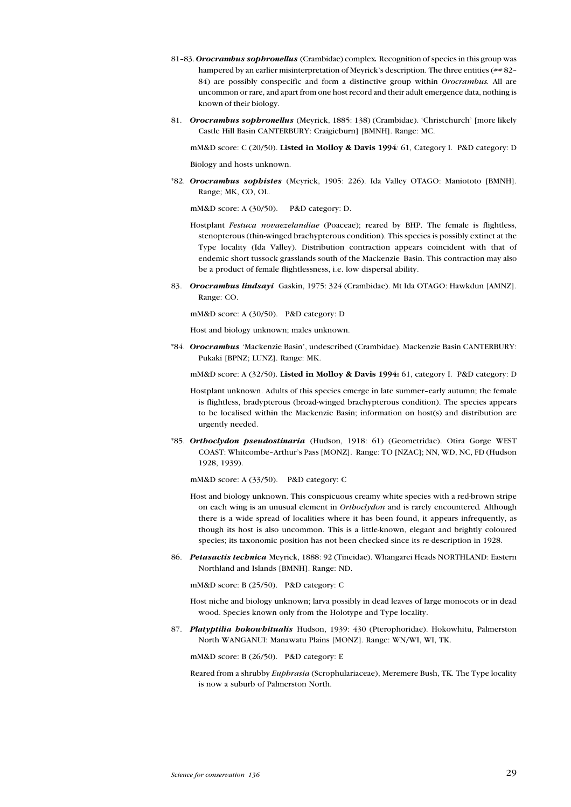- 81-83. Orocrambus sophronellus (Crambidae) complex. Recognition of species in this group was hampered by an earlier misinterpretation of Meyrick's description. The three entities  $(\# 82 -$ 84) are possibly conspecific and form a distinctive group within Orocrambus. All are uncommon or rare, and apart from one host record and their adult emergence data, nothing is known of their biology.
- 81. Orocrambus sophronellus (Meyrick, 1885: 138) (Crambidae). 'Christchurch' [more likely Castle Hill Basin CANTERBURY: Craigieburn] [BMNH]. Range: MC.

mM&D score:  $C(20/50)$ . Listed in Molloy & Davis 1994: 61, Category I. P&D category: D Biology and hosts unknown.

\*82. Orocrambus sophistes (Meyrick, 1905: 226). Ida Valley OTAGO: Maniototo [BMNH].

Range; MK, CO, OL.

mM&D score: A (30/50). P&D category: D.

- Hostplant Festuca novaezelandiae (Poaceae); reared by BHP. The female is flightless, stenopterous (thin-winged brachypterous condition). This species is possibly extinct at the Type locality (Ida Valley). Distribution contraction appears coincident with that of endemic short tussock grasslands south of the Mackenzie Basin. This contraction may also be a product of female flightlessness, i.e. low dispersal ability.
- 83. Orocrambus lindsayi Gaskin, 1975: 324 (Crambidae). Mt Ida OTAGO: Hawkdun [AMNZ]. Range: CO.

mM&D score: A (30/50). P&D category: D

Host and biology unknown; males unknown.

\*84. Orocrambus 'Mackenzie Basin', undescribed (Crambidae). Mackenzie Basin CANTERBURY: Pukaki [BPNZ; LUNZ]. Range: MK.

mM&D score: A (32/50). Listed in Molloy & Davis 1994: 61, category I. P&D category: D

- Hostplant unknown. Adults of this species emerge in late summer-early autumn; the female is flightless, bradypterous (broad-winged brachypterous condition). The species appears to be localised within the Mackenzie Basin; information on host(s) and distribution are urgently needed.
- \*85. Orthoclydon pseudostinaria (Hudson, 1918: 61) (Geometridae). Otira Gorge WEST COAST: Whitcombe-Arthur's Pass [MONZ]. Range: TO [NZAC]; NN, WD, NC, FD (Hudson 1928, 1939).

mM&D score: A (33/50). P&D category: C

- Host and biology unknown. This conspicuous creamy white species with a red-brown stripe on each wing is an unusual element in Orthoclydon and is rarely encountered. Although there is a wide spread of localities where it has been found, it appears infrequently, as though its host is also uncommon. This is a little-known, elegant and brightly coloured species; its taxonomic position has not been checked since its re-description in 1928.
- 86. Petasactis technica Meyrick, 1888: 92 (Tineidae). Whangarei Heads NORTHLAND: Eastern Northland and Islands [BMNH]. Range: ND.

mM&D score: B (25/50). P&D category: C

Host niche and biology unknown; larva possibly in dead leaves of large monocots or in dead wood. Species known only from the Holotype and Type locality.

87. Platyptilia hokowhitualis Hudson, 1939: 430 (Pterophoridae). Hokowhitu, Palmerston North WANGANUI: Manawatu Plains [MONZ]. Range: WN/WI, WI, TK.

mM&D score: B (26/50). P&D category: E

Reared from a shrubby *Euphrasia* (Scrophulariaceae), Meremere Bush, TK. The Type locality is now a suburb of Palmerston North.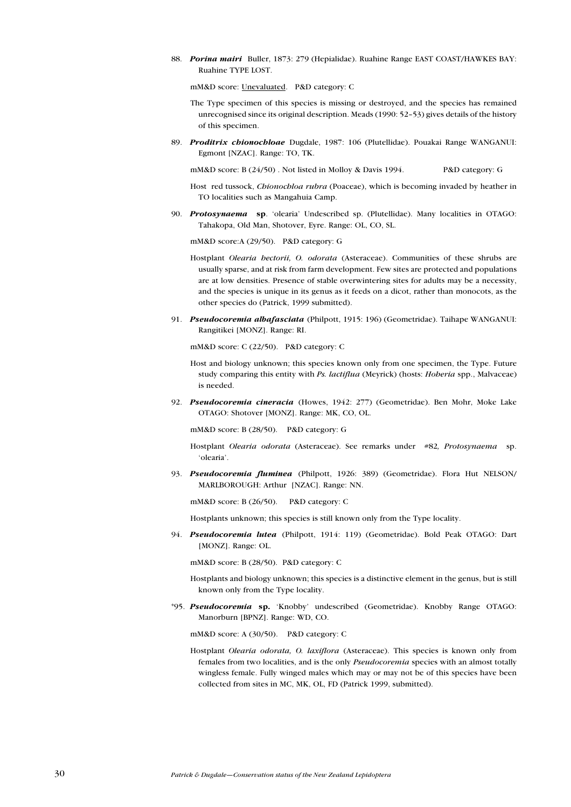88. Porina mairi Buller, 1873: 279 (Hepialidae). Ruahine Range EAST COAST/HAWKES BAY: Ruahine TYPE LOST.

mM&D score: Unevaluated. P&D category: C

- The Type specimen of this species is missing or destroyed, and the species has remained unrecognised since its original description. Meads (1990: 52-53) gives details of the history of this specimen.
- 89. Proditrix chionochloae Dugdale, 1987: 106 (Plutellidae). Pouakai Range WANGANUI: Egmont [NZAC]. Range: TO, TK.

mM&D score: B (24/50) . Not listed in Molloy & Davis 1994. P&D category: G

- Host red tussock, Chionochloa rubra (Poaceae), which is becoming invaded by heather in TO localities such as Mangahuia Camp.
- 90. Protosynaema sp. 'olearia' Undescribed sp. (Plutellidae). Many localities in OTAGO: Tahakopa, Old Man, Shotover, Eyre. Range: OL, CO, SL.

mM&D score:A (29/50). P&D category: G

- Hostplant Olearia hectorii, O. odorata (Asteraceae). Communities of these shrubs are usually sparse, and at risk from farm development. Few sites are protected and populations are at low densities. Presence of stable overwintering sites for adults may be a necessity, and the species is unique in its genus as it feeds on a dicot, rather than monocots, as the other species do (Patrick, 1999 submitted).
- 91. Pseudocoremia albafasciata (Philpott, 1915: 196) (Geometridae). Taihape WANGANUI: Rangitikei [MONZ]. Range: RI.

mM&D score: C (22/50). P&D category: C

Host and biology unknown; this species known only from one specimen, the Type. Future study comparing this entity with Ps. lactiflua (Meyrick) (hosts: Hoheria spp., Malvaceae) is needed.

92. Pseudocoremia cineracia (Howes, 1942: 277) (Geometridae). Ben Mohr, Moke Lake OTAGO: Shotover [MONZ]. Range: MK, CO, OL.

mM&D score: B (28/50). P&D category: G

- Hostplant Olearia odorata (Asteraceae). See remarks under #82, Protosynaema sp. olearia.
- 93. Pseudocoremia fluminea (Philpott, 1926: 389) (Geometridae). Flora Hut NELSON/ MARLBOROUGH: Arthur [NZAC]. Range: NN.

mM&D score: B (26/50). P&D category: C

Hostplants unknown; this species is still known only from the Type locality.

94. Pseudocoremia lutea (Philpott, 1914: 119) (Geometridae). Bold Peak OTAGO: Dart [MONZ]. Range: OL.

mM&D score: B (28/50). P&D category: C

Hostplants and biology unknown; this species is a distinctive element in the genus, but is still known only from the Type locality.

\*95. Pseudocoremia sp. Knobby undescribed (Geometridae). Knobby Range OTAGO: Manorburn [BPNZ]. Range: WD, CO.

mM&D score: A (30/50). P&D category: C

Hostplant Olearia odorata, O. laxiflora (Asteraceae). This species is known only from females from two localities, and is the only *Pseudocoremia* species with an almost totally wingless female. Fully winged males which may or may not be of this species have been collected from sites in MC, MK, OL, FD (Patrick 1999, submitted).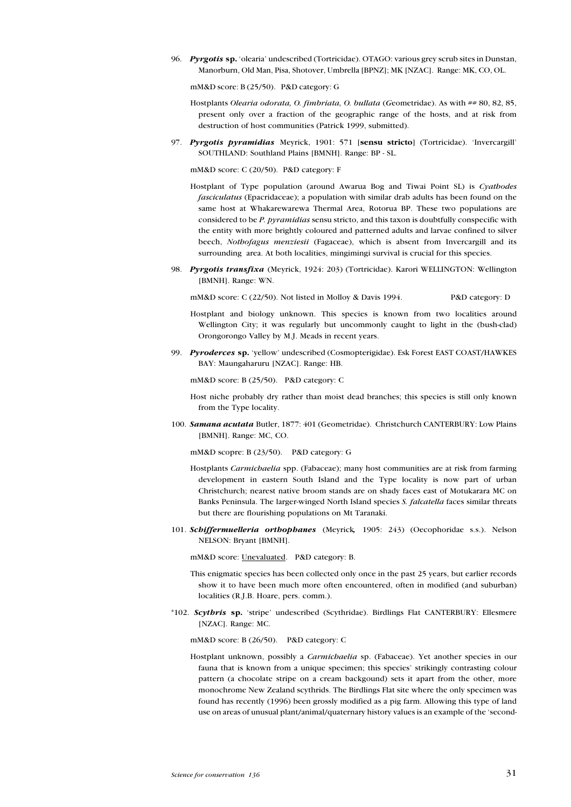96. Pyrgotis sp. 'olearia' undescribed (Tortricidae). OTAGO: various grey scrub sites in Dunstan, Manorburn, Old Man, Pisa, Shotover, Umbrella [BPNZ]; MK [NZAC]. Range: MK, CO, OL.

mM&D score: B (25/50). P&D category: G

- Hostplants Olearia odorata, O. fimbriata, O. bullata (Geometridae). As with ## 80, 82, 85, present only over a fraction of the geographic range of the hosts, and at risk from destruction of host communities (Patrick 1999, submitted).
- 97. Pyrgotis pyramidias Meyrick, 1901: 571 [sensu stricto] (Tortricidae). 'Invercargill' SOUTHLAND: Southland Plains [BMNH]. Range: BP - SL.

mM&D score: C (20/50). P&D category: F

- Hostplant of Type population (around Awarua Bog and Tiwai Point SL) is Cyathodes fasciculatus (Epacridaceae); a population with similar drab adults has been found on the same host at Whakarewarewa Thermal Area, Rotorua BP. These two populations are considered to be P. pyramidias sensu stricto, and this taxon is doubtfully conspecific with the entity with more brightly coloured and patterned adults and larvae confined to silver beech, Nothofagus menziesii (Fagaceae), which is absent from Invercargill and its surrounding area. At both localities, mingimingi survival is crucial for this species.
- 98. Pyrgotis transfixa (Meyrick, 1924: 203) (Tortricidae). Karori WELLINGTON: Wellington [BMNH]. Range: WN.

mM&D score: C (22/50). Not listed in Molloy & Davis 1994. P&D category: D

- Hostplant and biology unknown. This species is known from two localities around Wellington City; it was regularly but uncommonly caught to light in the (bush-clad) Orongorongo Valley by M.J. Meads in recent years.
- 99. Pyroderces sp. yellow undescribed (Cosmopterigidae). Esk Forest EAST COAST/HAWKES BAY: Maungaharuru [NZAC]. Range: HB.

mM&D score: B (25/50). P&D category: C

Host niche probably dry rather than moist dead branches; this species is still only known from the Type locality.

100. Samana acutata Butler, 1877: 401 (Geometridae). Christchurch CANTERBURY: Low Plains [BMNH]. Range: MC, CO.

mM&D scopre: B (23/50). P&D category: G

- Hostplants Carmichaelia spp. (Fabaceae); many host communities are at risk from farming development in eastern South Island and the Type locality is now part of urban Christchurch; nearest native broom stands are on shady faces east of Motukarara MC on Banks Peninsula. The larger-winged North Island species S. falcatella faces similar threats but there are flourishing populations on Mt Taranaki.
- 101. Schiffermuelleria orthophanes (Meyrick, 1905: 243) (Oecophoridae s.s.). Nelson NELSON: Bryant [BMNH].

mM&D score: Unevaluated. P&D category: B.

- This enigmatic species has been collected only once in the past 25 years, but earlier records show it to have been much more often encountered, often in modified (and suburban) localities (R.J.B. Hoare, pers. comm.).
- \*102. Scythris sp. 'stripe' undescribed (Scythridae). Birdlings Flat CANTERBURY: Ellesmere [NZAC]. Range: MC.

mM&D score: B (26/50). P&D category: C

Hostplant unknown, possibly a Carmichaelia sp. (Fabaceae). Yet another species in our fauna that is known from a unique specimen; this species' strikingly contrasting colour pattern (a chocolate stripe on a cream backgound) sets it apart from the other, more monochrome New Zealand scythrids. The Birdlings Flat site where the only specimen was found has recently (1996) been grossly modified as a pig farm. Allowing this type of land use on areas of unusual plant/animal/quaternary history values is an example of the 'second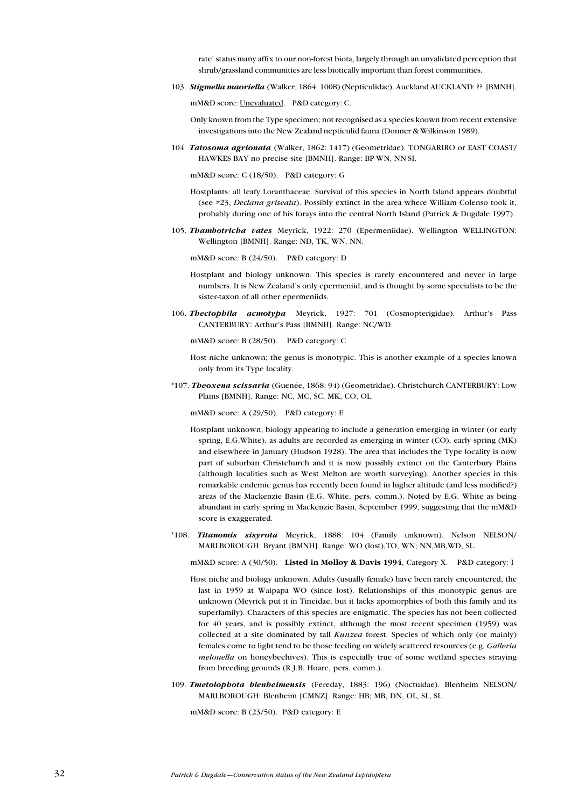rate' status many affix to our non-forest biota, largely through an unvalidated perception that shrub/grassland communities are less biotically important than forest communities.

103. Stigmella maoriella (Walker, 1864: 1008) (Nepticulidae). Auckland AUCKLAND: ?? [BMNH].

mM&D score: Unevaluated. P&D category: C.

Only known from the Type specimen; not recognised as a species known from recent extensive investigations into the New Zealand nepticulid fauna (Donner & Wilkinson 1989).

104 Tatosoma agrionata (Walker, 1862: 1417) (Geometridae). TONGARIRO or EAST COAST/ HAWKES BAY no precise site [BMNH]. Range: BP-WN, NN-SI.

mM&D score: C (18/50). P&D category: G

- Hostplants: all leafy Loranthaceae. Survival of this species in North Island appears doubtful (see #23, Declana griseata). Possibly extinct in the area where William Colenso took it, probably during one of his forays into the central North Island (Patrick & Dugdale 1997).
- 105. Thambotricha vates Meyrick, 1922: 270 (Epermeniidae). Wellington WELLINGTON: Wellington [BMNH]. Range: ND, TK, WN, NN.

mM&D score: B (24/50). P&D category: D

- Hostplant and biology unknown. This species is rarely encountered and never in large numbers. It is New Zealand's only epermeniid, and is thought by some specialists to be the sister-taxon of all other epermeniids.
- 106. Thectophila acmotypa Meyrick, 1927: 701 (Cosmopterigidae). Arthur's Pass CANTERBURY: Arthur's Pass [BMNH]. Range: NC/WD.

mM&D score: B (28/50). P&D category: C

- Host niche unknown; the genus is monotypic. This is another example of a species known only from its Type locality.
- \*107. Theoxena scissaria (Guenée, 1868: 94) (Geometridae). Christchurch CANTERBURY: Low Plains [BMNH]. Range: NC, MC, SC, MK, CO, OL.

mM&D score: A (29/50). P&D category: E

- Hostplant unknown; biology appearing to include a generation emerging in winter (or early spring, E.G.White), as adults are recorded as emerging in winter (CO), early spring (MK) and elsewhere in January (Hudson 1928). The area that includes the Type locality is now part of suburban Christchurch and it is now possibly extinct on the Canterbury Plains (although localities such as West Melton are worth surveying). Another species in this remarkable endemic genus has recently been found in higher altitude (and less modified?) areas of the Mackenzie Basin (E.G. White, pers. comm.). Noted by E.G. White as being abundant in early spring in Mackenzie Basin, September 1999, suggesting that the mM&D score is exaggerated.
- \*108. Titanomis sisyrota Meyrick, 1888: 104 (Family unknown). Nelson NELSON/ MARLBOROUGH: Bryant [BMNH]. Range: WO (lost),TO, WN; NN,MB,WD, SL.

mM&D score: A (30/50). Listed in Molloy & Davis 1994, Category X. P&D category: I

- Host niche and biology unknown. Adults (usually female) have been rarely encountered, the last in 1959 at Waipapa WO (since lost). Relationships of this monotypic genus are unknown (Meyrick put it in Tineidae, but it lacks apomorphies of both this family and its superfamily). Characters of this species are enigmatic. The species has not been collected for 40 years, and is possibly extinct, although the most recent specimen (1959) was collected at a site dominated by tall Kunzea forest. Species of which only (or mainly) females come to light tend to be those feeding on widely scattered resources (e.g. Galleria melonella on honeybeehives). This is especially true of some wetland species straying from breeding grounds (R.J.B. Hoare, pers. comm.).
- 109. Tmetolophota blenheimensis (Fereday, 1883: 196) (Noctuidae). Blenheim NELSON/ MARLBOROUGH: Blenheim [CMNZ]. Range: HB; MB, DN, OL, SL, SI.

mM&D score: B (23/50). P&D category: E